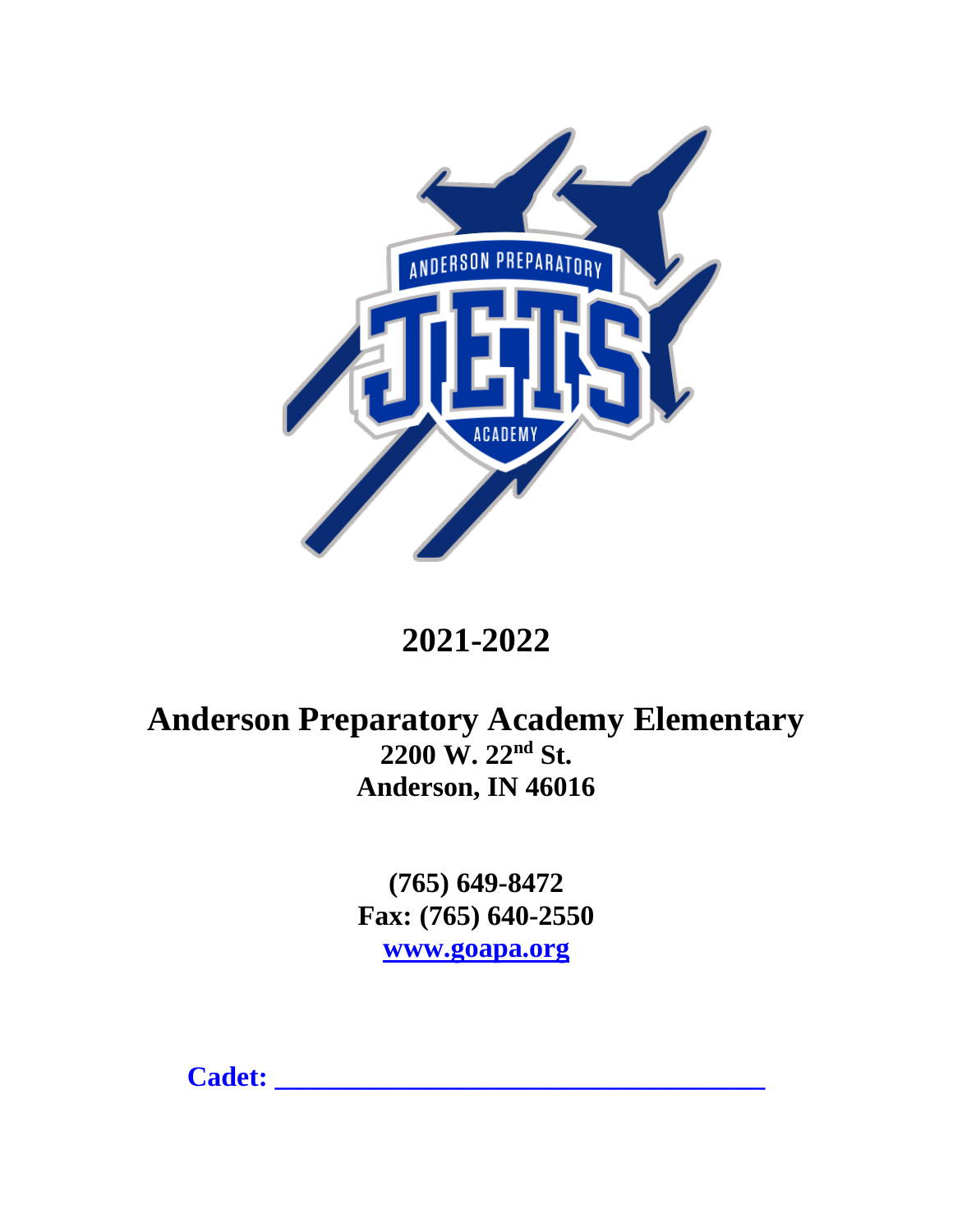

# **2021-2022**

# **Anderson Preparatory Academy Elementary 2200 W. 22nd St. Anderson, IN 46016**

**(765) 649-8472 Fax: (765) 640-2550 [www.goapa.org](http://www.goapa.org/)**

**Cadet: \_\_\_\_\_\_\_\_\_\_\_\_\_\_\_\_\_\_\_\_\_\_\_\_\_\_\_\_\_\_\_\_\_\_\_**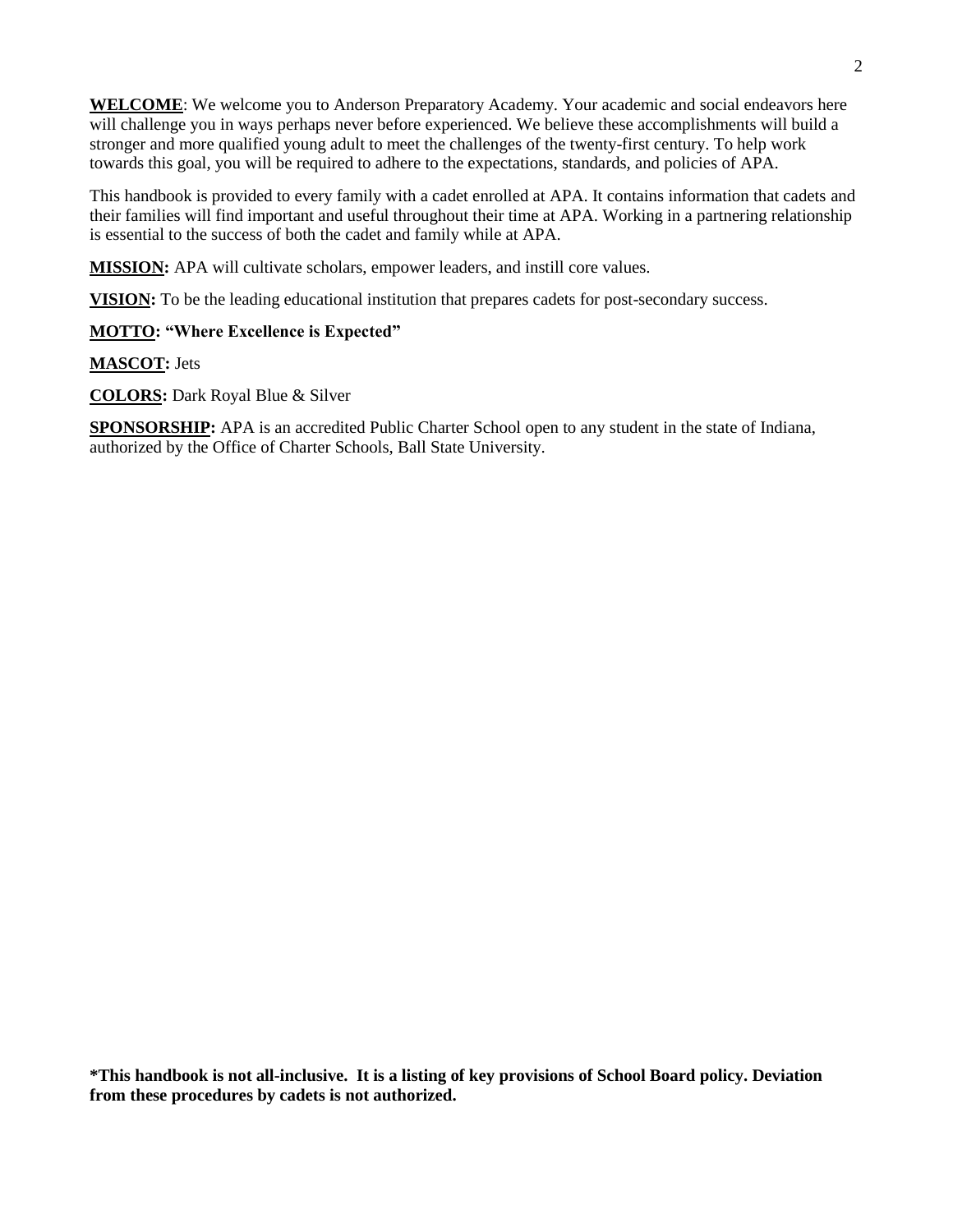**WELCOME**: We welcome you to Anderson Preparatory Academy. Your academic and social endeavors here will challenge you in ways perhaps never before experienced. We believe these accomplishments will build a stronger and more qualified young adult to meet the challenges of the twenty-first century. To help work towards this goal, you will be required to adhere to the expectations, standards, and policies of APA.

This handbook is provided to every family with a cadet enrolled at APA. It contains information that cadets and their families will find important and useful throughout their time at APA. Working in a partnering relationship is essential to the success of both the cadet and family while at APA.

**MISSION:** APA will cultivate scholars, empower leaders, and instill core values.

**VISION:** To be the leading educational institution that prepares cadets for post-secondary success.

### **MOTTO: "Where Excellence is Expected"**

**MASCOT:** Jets

**COLORS:** Dark Royal Blue & Silver

**SPONSORSHIP:** APA is an accredited Public Charter School open to any student in the state of Indiana, authorized by the Office of Charter Schools, Ball State University.

**\*This handbook is not all-inclusive. It is a listing of key provisions of School Board policy. Deviation from these procedures by cadets is not authorized.**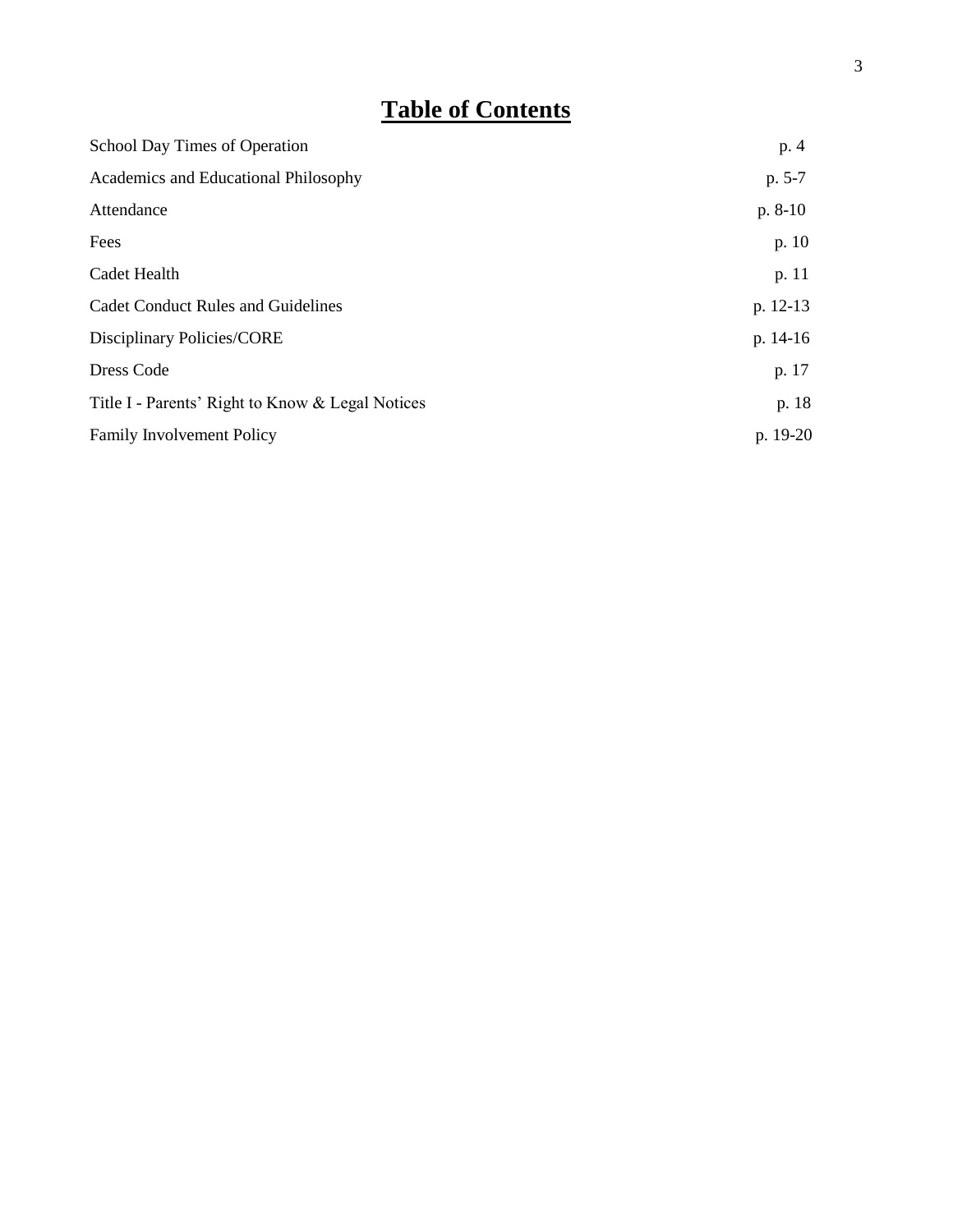# **Table of Contents**

| School Day Times of Operation                    | p. 4      |
|--------------------------------------------------|-----------|
| Academics and Educational Philosophy             | $p. 5-7$  |
| Attendance                                       | $p. 8-10$ |
| Fees                                             | p. 10     |
| Cadet Health                                     | p. 11     |
| <b>Cadet Conduct Rules and Guidelines</b>        | p. 12-13  |
| Disciplinary Policies/CORE                       | p. 14-16  |
| Dress Code                                       | p. 17     |
| Title I - Parents' Right to Know & Legal Notices | p. 18     |
| <b>Family Involvement Policy</b>                 | p. 19-20  |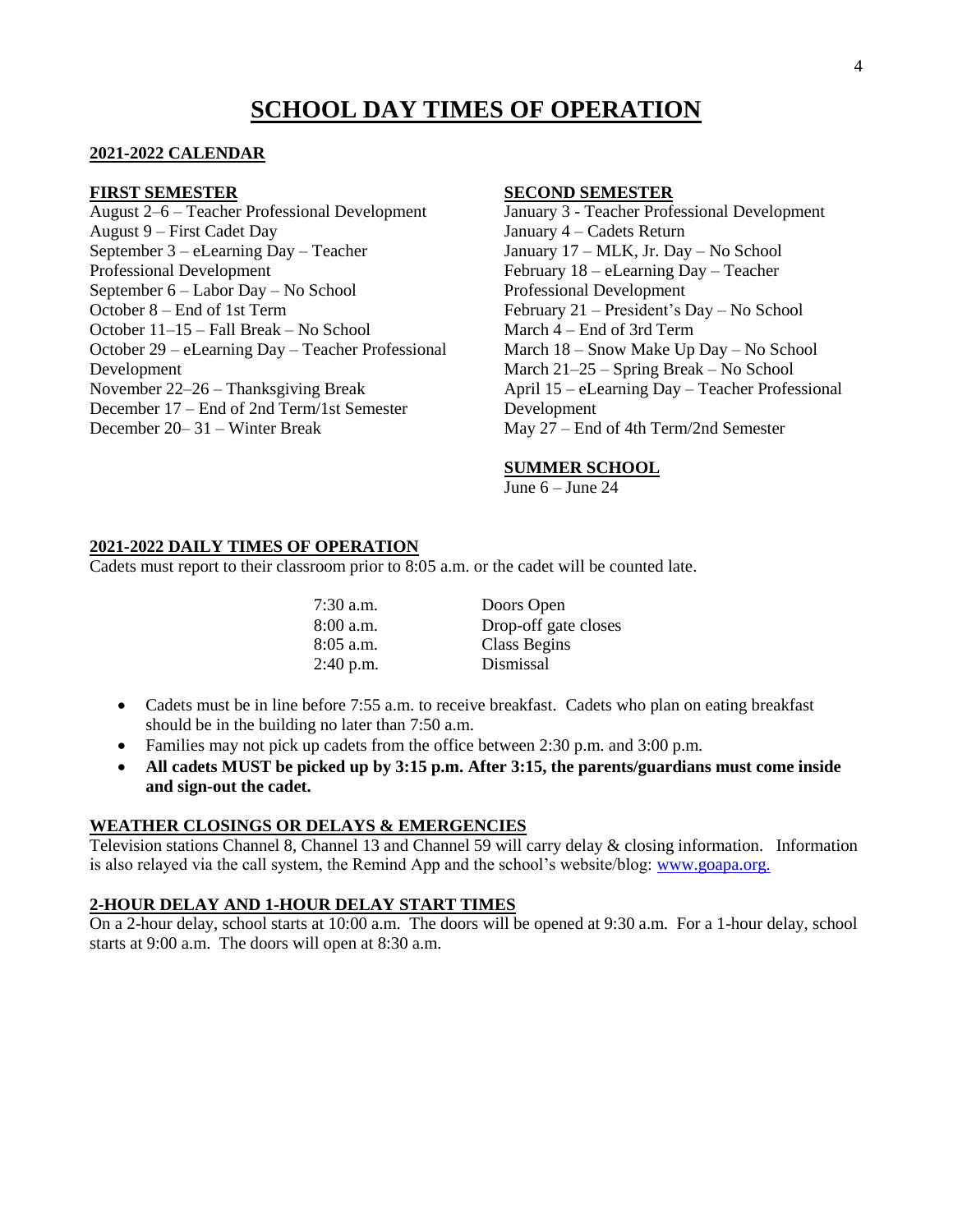## **SCHOOL DAY TIMES OF OPERATION**

#### **2021-2022 CALENDAR**

#### **FIRST SEMESTER**

August 2–6 – Teacher Professional Development August 9 – First Cadet Day September 3 – eLearning Day – Teacher Professional Development September 6 – Labor Day – No School October 8 – End of 1st Term October 11–15 – Fall Break – No School October 29 – eLearning Day – Teacher Professional Development November 22–26 – Thanksgiving Break December 17 – End of 2nd Term/1st Semester December 20– 31 – Winter Break

#### **SECOND SEMESTER**

January 3 - Teacher Professional Development January 4 – Cadets Return January 17 – MLK, Jr. Day – No School February 18 – eLearning Day – Teacher Professional Development February 21 – President's Day – No School March 4 – End of 3rd Term March 18 – Snow Make Up Day – No School March 21–25 – Spring Break – No School April 15 – eLearning Day – Teacher Professional Development May 27 – End of 4th Term/2nd Semester

#### **SUMMER SCHOOL**

June  $6 -$ June 24

#### **2021-2022 DAILY TIMES OF OPERATION**

Cadets must report to their classroom prior to 8:05 a.m. or the cadet will be counted late.

| Doors Open           |
|----------------------|
| Drop-off gate closes |
| Class Begins         |
| Dismissal            |
|                      |

- Cadets must be in line before 7:55 a.m. to receive breakfast. Cadets who plan on eating breakfast should be in the building no later than 7:50 a.m.
- Families may not pick up cadets from the office between  $2:30$  p.m. and  $3:00$  p.m.
- **All cadets MUST be picked up by 3:15 p.m. After 3:15, the parents/guardians must come inside and sign-out the cadet.**

#### **WEATHER CLOSINGS OR DELAYS & EMERGENCIES**

Television stations Channel 8, Channel 13 and Channel 59 will carry delay & closing information. Information is also relayed via the call system, the Remind App and the school's website/blog: [www.goapa.org.](http://www.goapa.org/)

#### **2-HOUR DELAY AND 1-HOUR DELAY START TIMES**

On a 2-hour delay, school starts at 10:00 a.m. The doors will be opened at 9:30 a.m. For a 1-hour delay, school starts at 9:00 a.m. The doors will open at 8:30 a.m.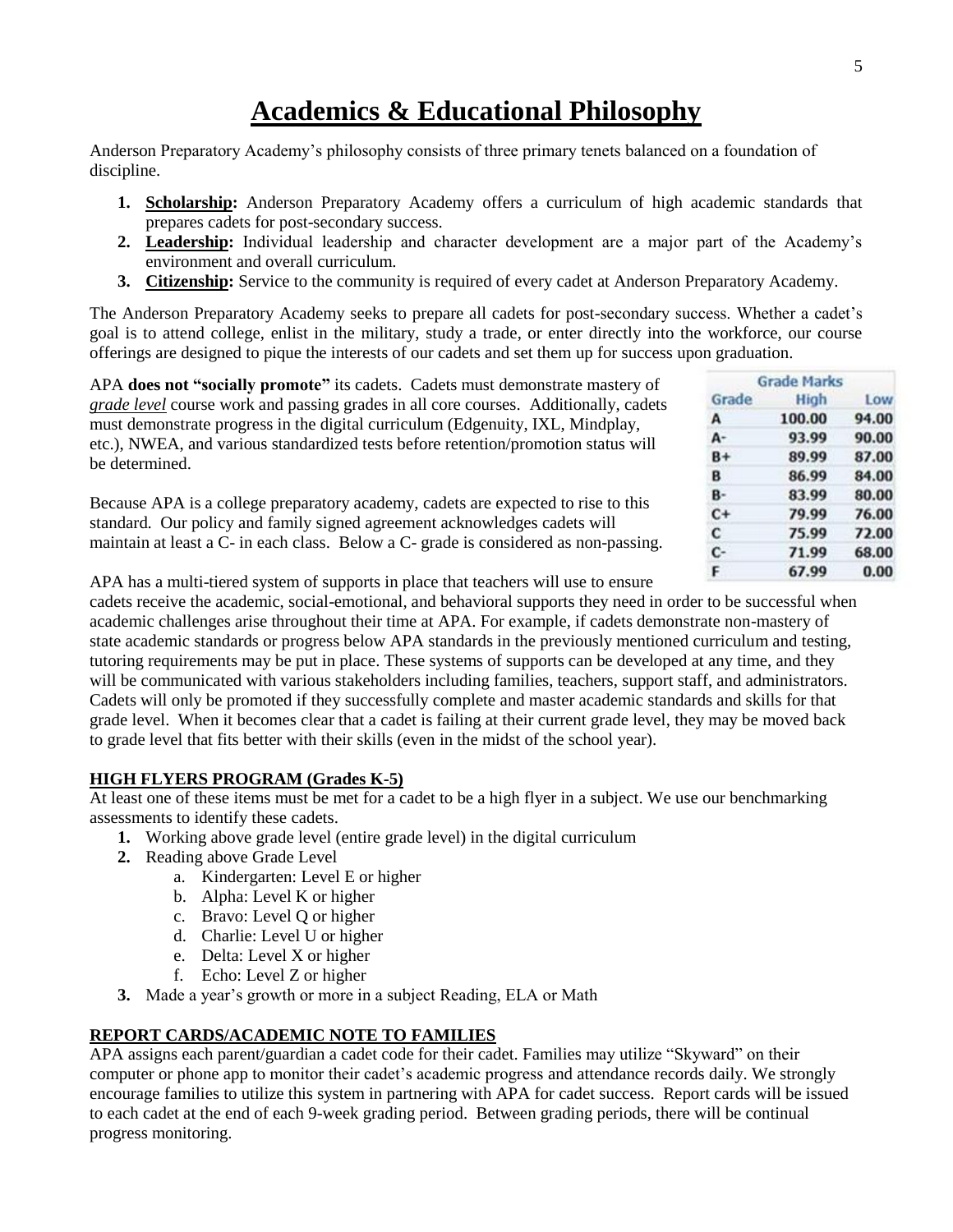## **Academics & Educational Philosophy**

Anderson Preparatory Academy's philosophy consists of three primary tenets balanced on a foundation of discipline.

- **1. Scholarship:** Anderson Preparatory Academy offers a curriculum of high academic standards that prepares cadets for post-secondary success.
- **2. Leadership:** Individual leadership and character development are a major part of the Academy's environment and overall curriculum.
- **3. Citizenship:** Service to the community is required of every cadet at Anderson Preparatory Academy.

The Anderson Preparatory Academy seeks to prepare all cadets for post-secondary success. Whether a cadet's goal is to attend college, enlist in the military, study a trade, or enter directly into the workforce, our course offerings are designed to pique the interests of our cadets and set them up for success upon graduation.

| APA does not "socially promote" its cadets. Cadets must demonstrate mastery of                                                                                                                                                                  |       | <b>Grade Marks</b> |       |  |
|-------------------------------------------------------------------------------------------------------------------------------------------------------------------------------------------------------------------------------------------------|-------|--------------------|-------|--|
| <i>grade level</i> course work and passing grades in all core courses. Additionally, cadets                                                                                                                                                     | Grade | <b>High</b>        | Low   |  |
| must demonstrate progress in the digital curriculum (Edgenuity, IXL, Mindplay,                                                                                                                                                                  |       | 100.00             | 94.00 |  |
| etc.), NWEA, and various standardized tests before retention/promotion status will                                                                                                                                                              | А-    | 93.99              | 90.00 |  |
| be determined.                                                                                                                                                                                                                                  | $B+$  | 89.99              | 87.00 |  |
|                                                                                                                                                                                                                                                 |       | 86.99              | 84.00 |  |
| Because APA is a college preparatory academy, cadets are expected to rise to this                                                                                                                                                               | в-    | 83.99              | 80.00 |  |
|                                                                                                                                                                                                                                                 |       | 79.99              | 76.00 |  |
| standard. Our policy and family signed agreement acknowledges cadets will                                                                                                                                                                       |       | 75.99              | 72.00 |  |
| maintain at least a C- in each class. Below a C- grade is considered as non-passing.                                                                                                                                                            | c-    | 71.99              | 68.00 |  |
| $\sqrt{2}$<br>$\mathbf{a}$ , and a set of the set of the set of the set of the set of the set of the set of the set of the set of the set of the set of the set of the set of the set of the set of the set of the set of the set of the set of |       | 67.99              | 0.00  |  |

APA has a multi-tiered system of supports in place that teachers will use to ensure

cadets receive the academic, social-emotional, and behavioral supports they need in order to be successful when academic challenges arise throughout their time at APA. For example, if cadets demonstrate non-mastery of state academic standards or progress below APA standards in the previously mentioned curriculum and testing, tutoring requirements may be put in place. These systems of supports can be developed at any time, and they will be communicated with various stakeholders including families, teachers, support staff, and administrators. Cadets will only be promoted if they successfully complete and master academic standards and skills for that grade level. When it becomes clear that a cadet is failing at their current grade level, they may be moved back to grade level that fits better with their skills (even in the midst of the school year).

### **HIGH FLYERS PROGRAM (Grades K-5)**

At least one of these items must be met for a cadet to be a high flyer in a subject. We use our benchmarking assessments to identify these cadets.

- **1.** Working above grade level (entire grade level) in the digital curriculum
- **2.** Reading above Grade Level
	- a. Kindergarten: Level E or higher
	- b. Alpha: Level K or higher
	- c. Bravo: Level Q or higher
	- d. Charlie: Level U or higher
	- e. Delta: Level X or higher
	- f. Echo: Level Z or higher
- **3.** Made a year's growth or more in a subject Reading, ELA or Math

### **REPORT CARDS/ACADEMIC NOTE TO FAMILIES**

APA assigns each parent/guardian a cadet code for their cadet. Families may utilize "Skyward" on their computer or phone app to monitor their cadet's academic progress and attendance records daily. We strongly encourage families to utilize this system in partnering with APA for cadet success. Report cards will be issued to each cadet at the end of each 9-week grading period. Between grading periods, there will be continual progress monitoring.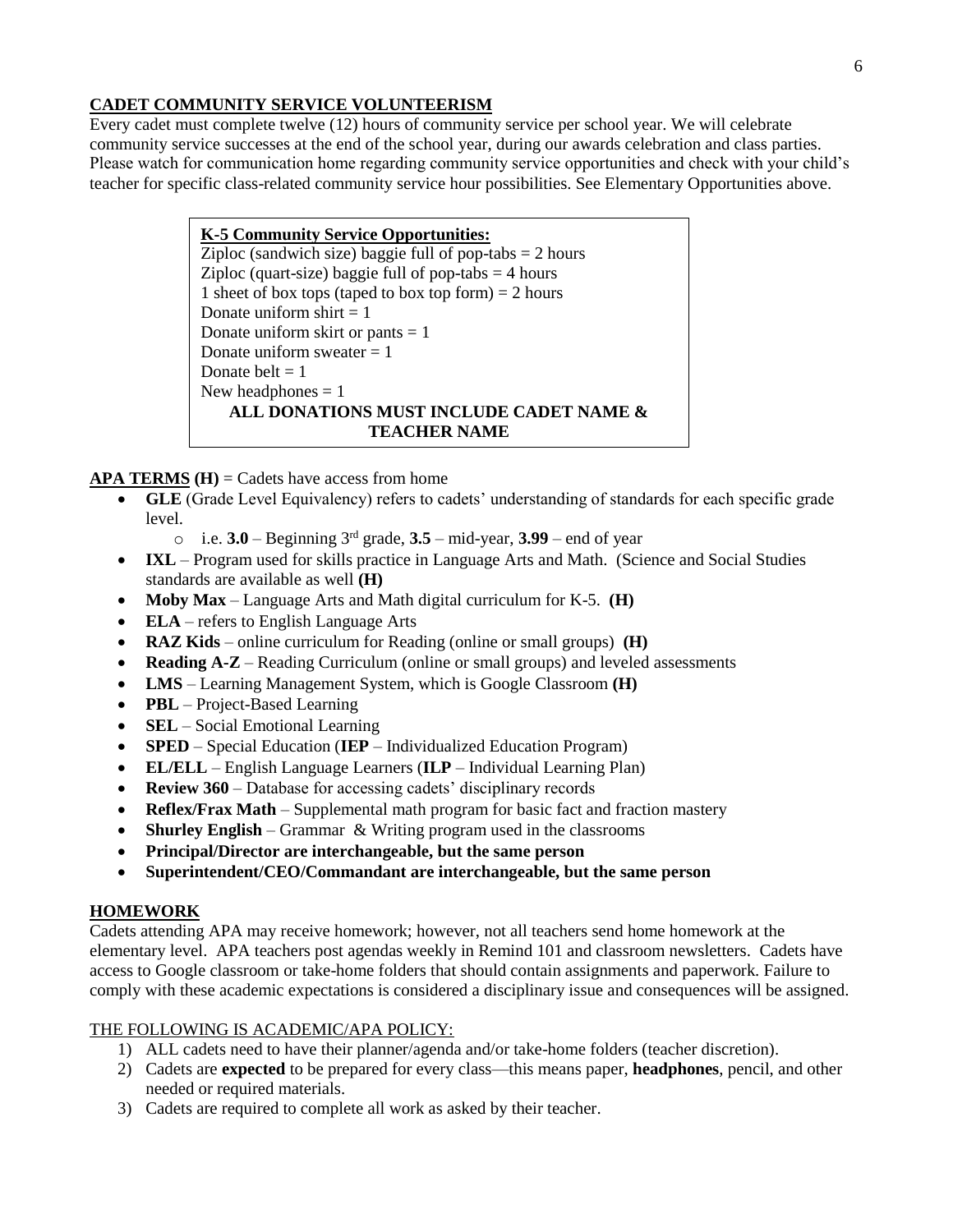### **CADET COMMUNITY SERVICE VOLUNTEERISM**

Every cadet must complete twelve (12) hours of community service per school year. We will celebrate community service successes at the end of the school year, during our awards celebration and class parties. Please watch for communication home regarding community service opportunities and check with your child's teacher for specific class-related community service hour possibilities. See Elementary Opportunities above.

> **K-5 Community Service Opportunities:** Ziploc (sandwich size) baggie full of pop-tabs  $= 2$  hours Ziploc (quart-size) baggie full of pop-tabs  $=$  4 hours 1 sheet of box tops (taped to box top form)  $= 2$  hours Donate uniform shirt  $= 1$ Donate uniform skirt or pants  $= 1$ Donate uniform sweater  $= 1$ Donate belt  $= 1$ New headphones  $= 1$ **ALL DONATIONS MUST INCLUDE CADET NAME & TEACHER NAME**

 $APA$  **TERMS**  $(H)$  = Cadets have access from home

- **GLE** (Grade Level Equivalency) refers to cadets' understanding of standards for each specific grade level.
	- o i.e. **3.0** Beginning 3rd grade, **3.5** mid-year, **3.99**  end of year
- **IXL** Program used for skills practice in Language Arts and Math. (Science and Social Studies standards are available as well **(H)**
- **Moby Max** Language Arts and Math digital curriculum for K-5. **(H)**
- **ELA** refers to English Language Arts
- **RAZ Kids** online curriculum for Reading (online or small groups) **(H)**
- **Reading A-Z** Reading Curriculum (online or small groups) and leveled assessments
- **LMS** Learning Management System, which is Google Classroom **(H)**
- **PBL** Project-Based Learning
- **SEL** Social Emotional Learning
- **SPED** Special Education (**IEP** Individualized Education Program)
- **EL/ELL** English Language Learners (**ILP** Individual Learning Plan)
- **Review 360** Database for accessing cadets' disciplinary records
- **Reflex/Frax Math** Supplemental math program for basic fact and fraction mastery
- **Shurley English** Grammar & Writing program used in the classrooms
- **Principal/Director are interchangeable, but the same person**
- **Superintendent/CEO/Commandant are interchangeable, but the same person**

### **HOMEWORK**

Cadets attending APA may receive homework; however, not all teachers send home homework at the elementary level. APA teachers post agendas weekly in Remind 101 and classroom newsletters. Cadets have access to Google classroom or take-home folders that should contain assignments and paperwork. Failure to comply with these academic expectations is considered a disciplinary issue and consequences will be assigned.

### THE FOLLOWING IS ACADEMIC/APA POLICY:

- 1) ALL cadets need to have their planner/agenda and/or take-home folders (teacher discretion).
- 2) Cadets are **expected** to be prepared for every class—this means paper, **headphones**, pencil, and other needed or required materials.
- 3) Cadets are required to complete all work as asked by their teacher.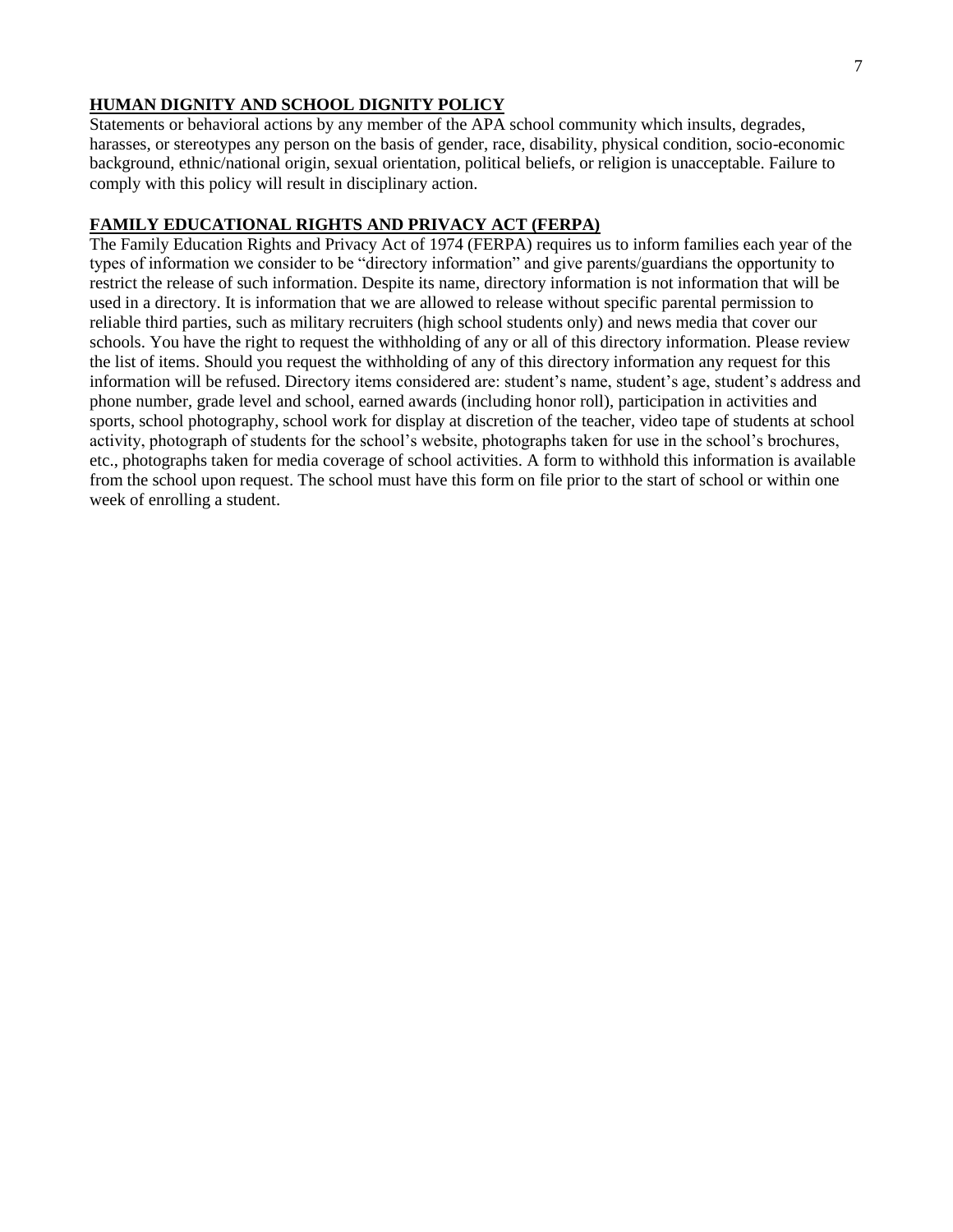### **HUMAN DIGNITY AND SCHOOL DIGNITY POLICY**

Statements or behavioral actions by any member of the APA school community which insults, degrades, harasses, or stereotypes any person on the basis of gender, race, disability, physical condition, socio-economic background, ethnic/national origin, sexual orientation, political beliefs, or religion is unacceptable. Failure to comply with this policy will result in disciplinary action.

### **FAMILY EDUCATIONAL RIGHTS AND PRIVACY ACT (FERPA)**

The Family Education Rights and Privacy Act of 1974 (FERPA) requires us to inform families each year of the types of information we consider to be "directory information" and give parents/guardians the opportunity to restrict the release of such information. Despite its name, directory information is not information that will be used in a directory. It is information that we are allowed to release without specific parental permission to reliable third parties, such as military recruiters (high school students only) and news media that cover our schools. You have the right to request the withholding of any or all of this directory information. Please review the list of items. Should you request the withholding of any of this directory information any request for this information will be refused. Directory items considered are: student's name, student's age, student's address and phone number, grade level and school, earned awards (including honor roll), participation in activities and sports, school photography, school work for display at discretion of the teacher, video tape of students at school activity, photograph of students for the school's website, photographs taken for use in the school's brochures, etc., photographs taken for media coverage of school activities. A form to withhold this information is available from the school upon request. The school must have this form on file prior to the start of school or within one week of enrolling a student.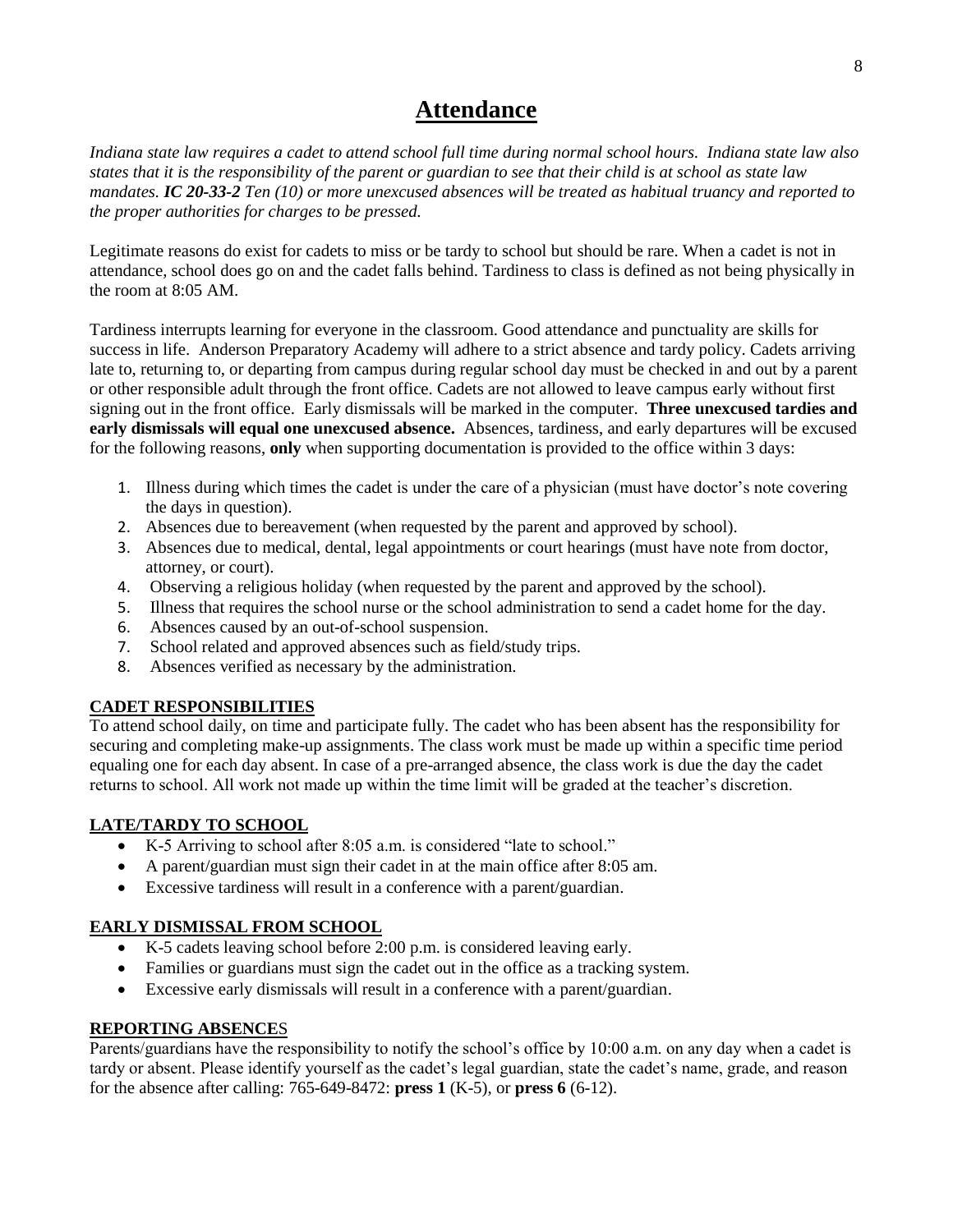## **Attendance**

*Indiana state law requires a cadet to attend school full time during normal school hours. Indiana state law also states that it is the responsibility of the parent or guardian to see that their child is at school as state law mandates. IC 20-33-2 Ten (10) or more unexcused absences will be treated as habitual truancy and reported to the proper authorities for charges to be pressed.*

Legitimate reasons do exist for cadets to miss or be tardy to school but should be rare. When a cadet is not in attendance, school does go on and the cadet falls behind. Tardiness to class is defined as not being physically in the room at 8:05 AM.

Tardiness interrupts learning for everyone in the classroom. Good attendance and punctuality are skills for success in life. Anderson Preparatory Academy will adhere to a strict absence and tardy policy. Cadets arriving late to, returning to, or departing from campus during regular school day must be checked in and out by a parent or other responsible adult through the front office. Cadets are not allowed to leave campus early without first signing out in the front office. Early dismissals will be marked in the computer. **Three unexcused tardies and early dismissals will equal one unexcused absence.** Absences, tardiness, and early departures will be excused for the following reasons, **only** when supporting documentation is provided to the office within 3 days:

- 1. Illness during which times the cadet is under the care of a physician (must have doctor's note covering the days in question).
- 2. Absences due to bereavement (when requested by the parent and approved by school).
- 3. Absences due to medical, dental, legal appointments or court hearings (must have note from doctor, attorney, or court).
- 4. Observing a religious holiday (when requested by the parent and approved by the school).
- 5. Illness that requires the school nurse or the school administration to send a cadet home for the day.
- 6. Absences caused by an out-of-school suspension.
- 7. School related and approved absences such as field/study trips.
- 8. Absences verified as necessary by the administration.

### **CADET RESPONSIBILITIES**

To attend school daily, on time and participate fully. The cadet who has been absent has the responsibility for securing and completing make-up assignments. The class work must be made up within a specific time period equaling one for each day absent. In case of a pre-arranged absence, the class work is due the day the cadet returns to school. All work not made up within the time limit will be graded at the teacher's discretion.

### **LATE/TARDY TO SCHOOL**

- K-5 Arriving to school after 8:05 a.m. is considered "late to school."
- A parent/guardian must sign their cadet in at the main office after 8:05 am.
- Excessive tardiness will result in a conference with a parent/guardian.

### **EARLY DISMISSAL FROM SCHOOL**

- K-5 cadets leaving school before 2:00 p.m. is considered leaving early.
- Families or guardians must sign the cadet out in the office as a tracking system.
- Excessive early dismissals will result in a conference with a parent/guardian.

### **REPORTING ABSENCE**S

Parents/guardians have the responsibility to notify the school's office by 10:00 a.m. on any day when a cadet is tardy or absent. Please identify yourself as the cadet's legal guardian, state the cadet's name, grade, and reason for the absence after calling: 765-649-8472: **press 1** (K-5), or **press 6** (6-12).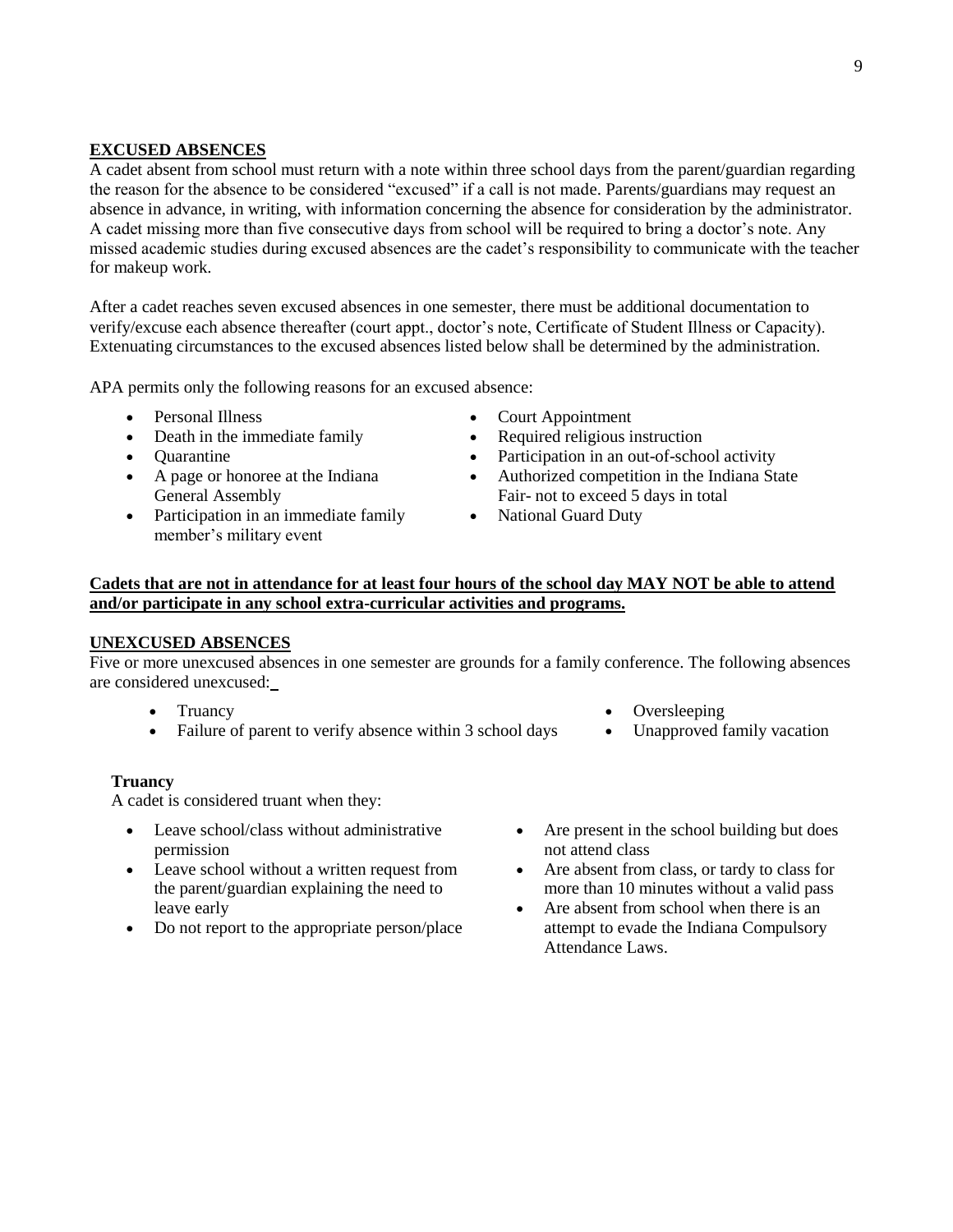#### **EXCUSED ABSENCES**

A cadet absent from school must return with a note within three school days from the parent/guardian regarding the reason for the absence to be considered "excused" if a call is not made. Parents/guardians may request an absence in advance, in writing, with information concerning the absence for consideration by the administrator. A cadet missing more than five consecutive days from school will be required to bring a doctor's note. Any missed academic studies during excused absences are the cadet's responsibility to communicate with the teacher for makeup work.

After a cadet reaches seven excused absences in one semester, there must be additional documentation to verify/excuse each absence thereafter (court appt., doctor's note, Certificate of Student Illness or Capacity). Extenuating circumstances to the excused absences listed below shall be determined by the administration.

APA permits only the following reasons for an excused absence:

- Personal Illness
- Death in the immediate family
- **Ouarantine**
- A page or honoree at the Indiana General Assembly
- Participation in an immediate family member's military event
- Court Appointment
- Required religious instruction
- Participation in an out-of-school activity
- Authorized competition in the Indiana State Fair- not to exceed 5 days in total
- National Guard Duty

### **Cadets that are not in attendance for at least four hours of the school day MAY NOT be able to attend and/or participate in any school extra-curricular activities and programs.**

#### **UNEXCUSED ABSENCES**

Five or more unexcused absences in one semester are grounds for a family conference. The following absences are considered unexcused:

- Truancy
- Failure of parent to verify absence within 3 school days
	-

#### **Truancy**

A cadet is considered truant when they:

- Leave school/class without administrative permission
- Leave school without a written request from the parent/guardian explaining the need to leave early
- Do not report to the appropriate person/place
- Are present in the school building but does not attend class

Oversleeping

Unapproved family vacation

- Are absent from class, or tardy to class for more than 10 minutes without a valid pass
- Are absent from school when there is an attempt to evade the Indiana Compulsory Attendance Laws.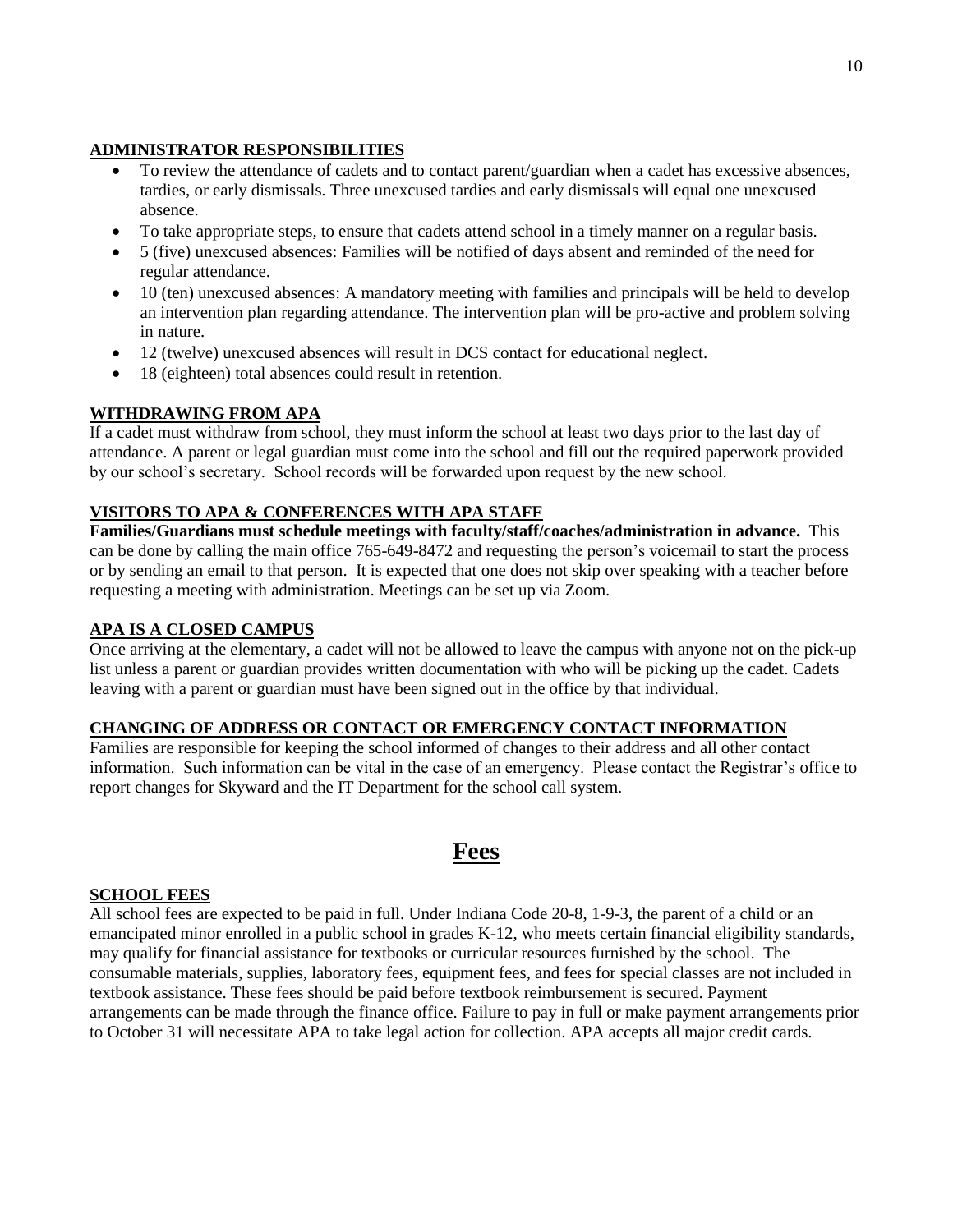### **ADMINISTRATOR RESPONSIBILITIES**

- To review the attendance of cadets and to contact parent/guardian when a cadet has excessive absences, tardies, or early dismissals. Three unexcused tardies and early dismissals will equal one unexcused absence.
- To take appropriate steps, to ensure that cadets attend school in a timely manner on a regular basis.
- 5 (five) unexcused absences: Families will be notified of days absent and reminded of the need for regular attendance.
- 10 (ten) unexcused absences: A mandatory meeting with families and principals will be held to develop an intervention plan regarding attendance. The intervention plan will be pro-active and problem solving in nature.
- 12 (twelve) unexcused absences will result in DCS contact for educational neglect.
- 18 (eighteen) total absences could result in retention.

### **WITHDRAWING FROM APA**

If a cadet must withdraw from school, they must inform the school at least two days prior to the last day of attendance. A parent or legal guardian must come into the school and fill out the required paperwork provided by our school's secretary. School records will be forwarded upon request by the new school.

### **VISITORS TO APA & CONFERENCES WITH APA STAFF**

**Families/Guardians must schedule meetings with faculty/staff/coaches/administration in advance.** This can be done by calling the main office 765-649-8472 and requesting the person's voicemail to start the process or by sending an email to that person. It is expected that one does not skip over speaking with a teacher before requesting a meeting with administration. Meetings can be set up via Zoom.

### **APA IS A CLOSED CAMPUS**

Once arriving at the elementary, a cadet will not be allowed to leave the campus with anyone not on the pick-up list unless a parent or guardian provides written documentation with who will be picking up the cadet. Cadets leaving with a parent or guardian must have been signed out in the office by that individual.

### **CHANGING OF ADDRESS OR CONTACT OR EMERGENCY CONTACT INFORMATION**

Families are responsible for keeping the school informed of changes to their address and all other contact information. Such information can be vital in the case of an emergency. Please contact the Registrar's office to report changes for Skyward and the IT Department for the school call system.

## **Fees**

### **SCHOOL FEES**

All school fees are expected to be paid in full. Under Indiana Code 20-8, 1-9-3, the parent of a child or an emancipated minor enrolled in a public school in grades K-12, who meets certain financial eligibility standards, may qualify for financial assistance for textbooks or curricular resources furnished by the school. The consumable materials, supplies, laboratory fees, equipment fees, and fees for special classes are not included in textbook assistance. These fees should be paid before textbook reimbursement is secured. Payment arrangements can be made through the finance office. Failure to pay in full or make payment arrangements prior to October 31 will necessitate APA to take legal action for collection. APA accepts all major credit cards.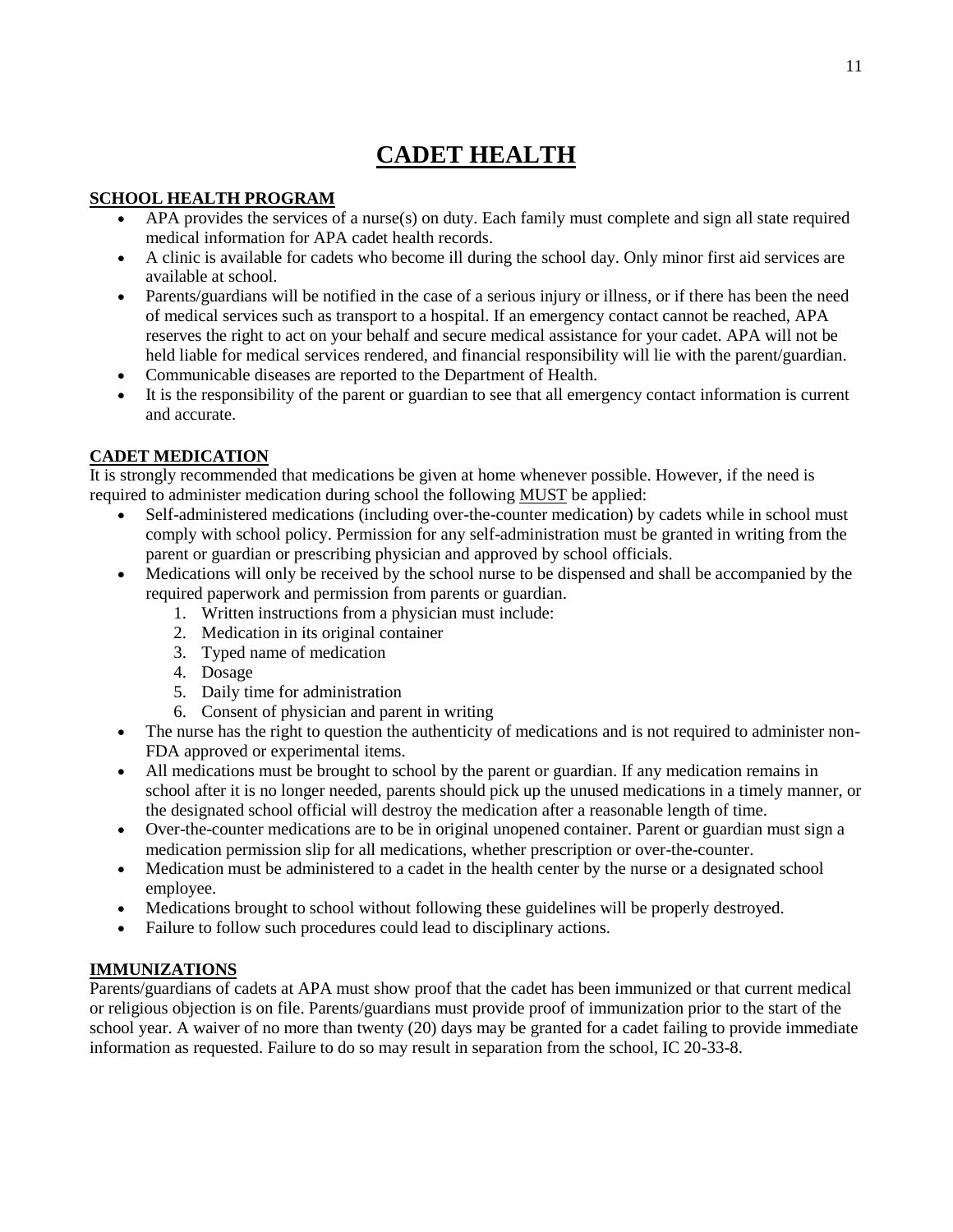## **CADET HEALTH**

### **SCHOOL HEALTH PROGRAM**

- APA provides the services of a nurse(s) on duty. Each family must complete and sign all state required medical information for APA cadet health records.
- A clinic is available for cadets who become ill during the school day. Only minor first aid services are available at school.
- Parents/guardians will be notified in the case of a serious injury or illness, or if there has been the need of medical services such as transport to a hospital. If an emergency contact cannot be reached, APA reserves the right to act on your behalf and secure medical assistance for your cadet. APA will not be held liable for medical services rendered, and financial responsibility will lie with the parent/guardian.
- Communicable diseases are reported to the Department of Health.
- It is the responsibility of the parent or guardian to see that all emergency contact information is current and accurate.

### **CADET MEDICATION**

It is strongly recommended that medications be given at home whenever possible. However, if the need is required to administer medication during school the following MUST be applied:

- Self-administered medications (including over-the-counter medication) by cadets while in school must comply with school policy. Permission for any self-administration must be granted in writing from the parent or guardian or prescribing physician and approved by school officials.
- Medications will only be received by the school nurse to be dispensed and shall be accompanied by the required paperwork and permission from parents or guardian.
	- 1. Written instructions from a physician must include:
	- 2. Medication in its original container
	- 3. Typed name of medication
	- 4. Dosage
	- 5. Daily time for administration
	- 6. Consent of physician and parent in writing
- The nurse has the right to question the authenticity of medications and is not required to administer non-FDA approved or experimental items.
- All medications must be brought to school by the parent or guardian. If any medication remains in school after it is no longer needed, parents should pick up the unused medications in a timely manner, or the designated school official will destroy the medication after a reasonable length of time.
- Over-the-counter medications are to be in original unopened container. Parent or guardian must sign a medication permission slip for all medications, whether prescription or over-the-counter.
- Medication must be administered to a cadet in the health center by the nurse or a designated school employee.
- Medications brought to school without following these guidelines will be properly destroyed.
- Failure to follow such procedures could lead to disciplinary actions.

### **IMMUNIZATIONS**

Parents/guardians of cadets at APA must show proof that the cadet has been immunized or that current medical or religious objection is on file. Parents/guardians must provide proof of immunization prior to the start of the school year. A waiver of no more than twenty (20) days may be granted for a cadet failing to provide immediate information as requested. Failure to do so may result in separation from the school, IC 20-33-8.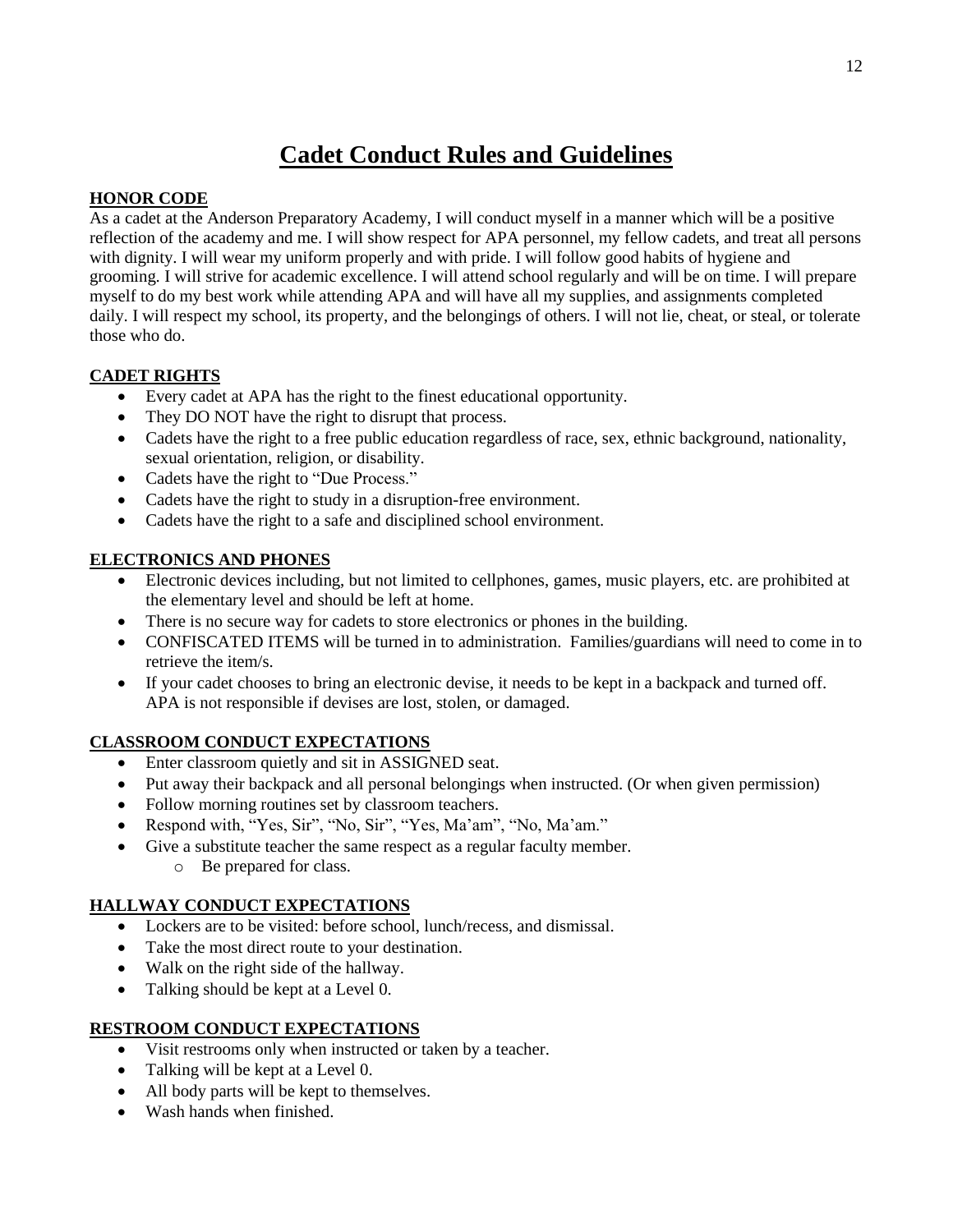## **Cadet Conduct Rules and Guidelines**

### **HONOR CODE**

As a cadet at the Anderson Preparatory Academy, I will conduct myself in a manner which will be a positive reflection of the academy and me. I will show respect for APA personnel, my fellow cadets, and treat all persons with dignity. I will wear my uniform properly and with pride. I will follow good habits of hygiene and grooming. I will strive for academic excellence. I will attend school regularly and will be on time. I will prepare myself to do my best work while attending APA and will have all my supplies, and assignments completed daily. I will respect my school, its property, and the belongings of others. I will not lie, cheat, or steal, or tolerate those who do.

### **CADET RIGHTS**

- Every cadet at APA has the right to the finest educational opportunity.
- They DO NOT have the right to disrupt that process.
- Cadets have the right to a free public education regardless of race, sex, ethnic background, nationality, sexual orientation, religion, or disability.
- Cadets have the right to "Due Process."
- Cadets have the right to study in a disruption-free environment.
- Cadets have the right to a safe and disciplined school environment.

### **ELECTRONICS AND PHONES**

- Electronic devices including, but not limited to cellphones, games, music players, etc. are prohibited at the elementary level and should be left at home.
- There is no secure way for cadets to store electronics or phones in the building.
- CONFISCATED ITEMS will be turned in to administration. Families/guardians will need to come in to retrieve the item/s.
- If your cadet chooses to bring an electronic devise, it needs to be kept in a backpack and turned off. APA is not responsible if devises are lost, stolen, or damaged.

### **CLASSROOM CONDUCT EXPECTATIONS**

- Enter classroom quietly and sit in ASSIGNED seat.
- Put away their backpack and all personal belongings when instructed. (Or when given permission)
- Follow morning routines set by classroom teachers.
- Respond with, "Yes, Sir", "No, Sir", "Yes, Ma'am", "No, Ma'am."
- Give a substitute teacher the same respect as a regular faculty member.
	- o Be prepared for class.

### **HALLWAY CONDUCT EXPECTATIONS**

- Lockers are to be visited: before school, lunch/recess, and dismissal.
- Take the most direct route to your destination.
- Walk on the right side of the hallway.
- Talking should be kept at a Level 0.

### **RESTROOM CONDUCT EXPECTATIONS**

- Visit restrooms only when instructed or taken by a teacher.
- Talking will be kept at a Level 0.
- All body parts will be kept to themselves.
- Wash hands when finished.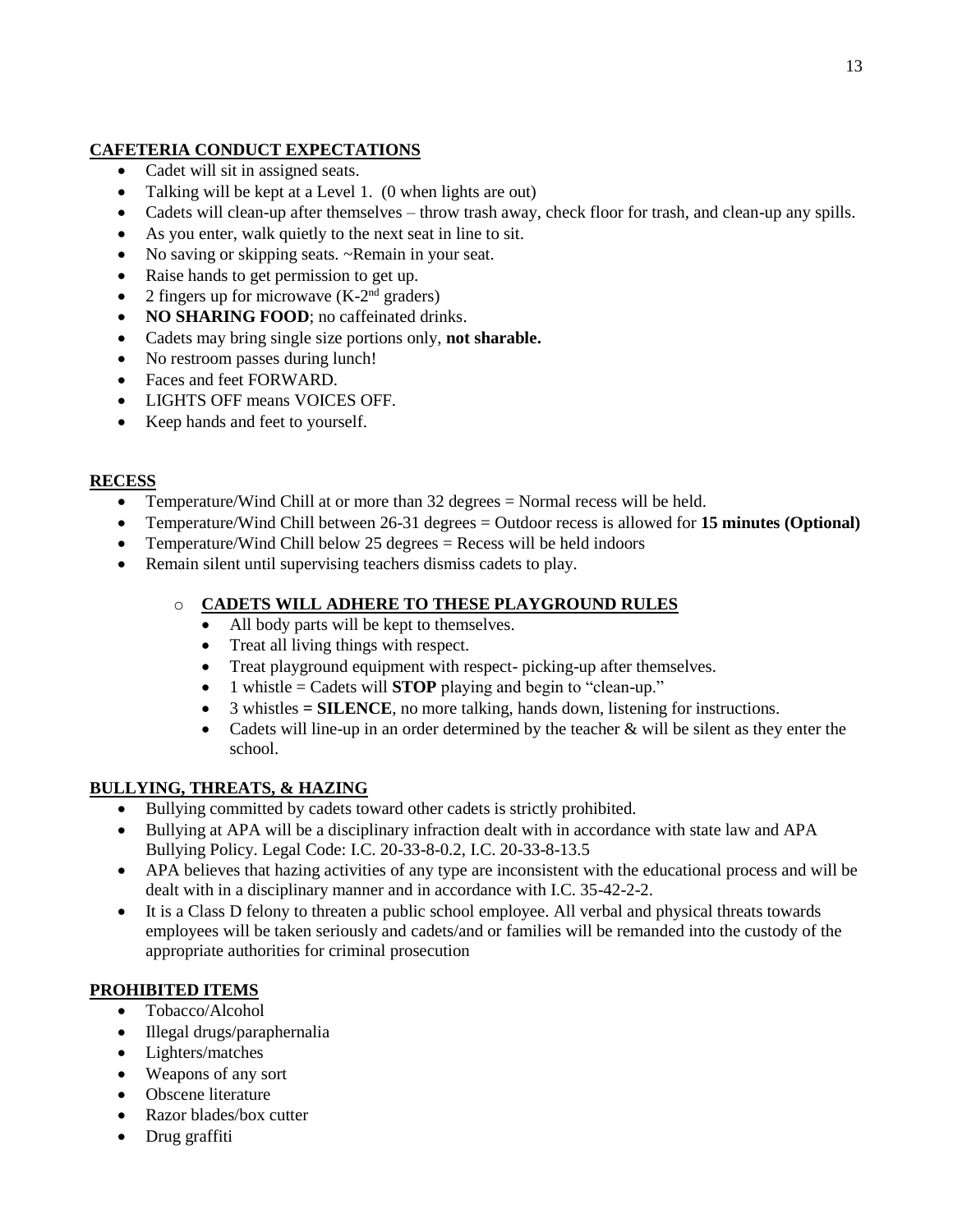### **CAFETERIA CONDUCT EXPECTATIONS**

- Cadet will sit in assigned seats.
- Talking will be kept at a Level 1. (0 when lights are out)
- Cadets will clean-up after themselves throw trash away, check floor for trash, and clean-up any spills.
- As you enter, walk quietly to the next seat in line to sit.
- No saving or skipping seats. ~Remain in your seat.
- Raise hands to get permission to get up.
- 2 fingers up for microwave  $(K-2<sup>nd</sup>$  graders)
- NO SHARING FOOD; no caffeinated drinks.
- Cadets may bring single size portions only, **not sharable.**
- No restroom passes during lunch!
- Faces and feet FORWARD.
- LIGHTS OFF means VOICES OFF.
- Keep hands and feet to yourself.

### **RECESS**

- Temperature/Wind Chill at or more than 32 degrees = Normal recess will be held.
- Temperature/Wind Chill between 26-31 degrees = Outdoor recess is allowed for **15 minutes (Optional)**
- Temperature/Wind Chill below 25 degrees = Recess will be held indoors
- Remain silent until supervising teachers dismiss cadets to play.

### o **CADETS WILL ADHERE TO THESE PLAYGROUND RULES**

- All body parts will be kept to themselves.
- Treat all living things with respect.
- Treat playground equipment with respect- picking-up after themselves.
- 1 whistle = Cadets will **STOP** playing and begin to "clean-up."
- 3 whistles **= SILENCE**, no more talking, hands down, listening for instructions.
- Cadets will line-up in an order determined by the teacher & will be silent as they enter the school.

### **BULLYING, THREATS, & HAZING**

- Bullying committed by cadets toward other cadets is strictly prohibited.
- Bullying at APA will be a disciplinary infraction dealt with in accordance with state law and APA Bullying Policy. Legal Code: I.C. 20-33-8-0.2, I.C. 20-33-8-13.5
- APA believes that hazing activities of any type are inconsistent with the educational process and will be dealt with in a disciplinary manner and in accordance with I.C. 35-42-2-2.
- It is a Class D felony to threaten a public school employee. All verbal and physical threats towards employees will be taken seriously and cadets/and or families will be remanded into the custody of the appropriate authorities for criminal prosecution

### **PROHIBITED ITEMS**

- Tobacco/Alcohol
- Illegal drugs/paraphernalia
- Lighters/matches
- Weapons of any sort
- Obscene literature
- Razor blades/box cutter
- Drug graffiti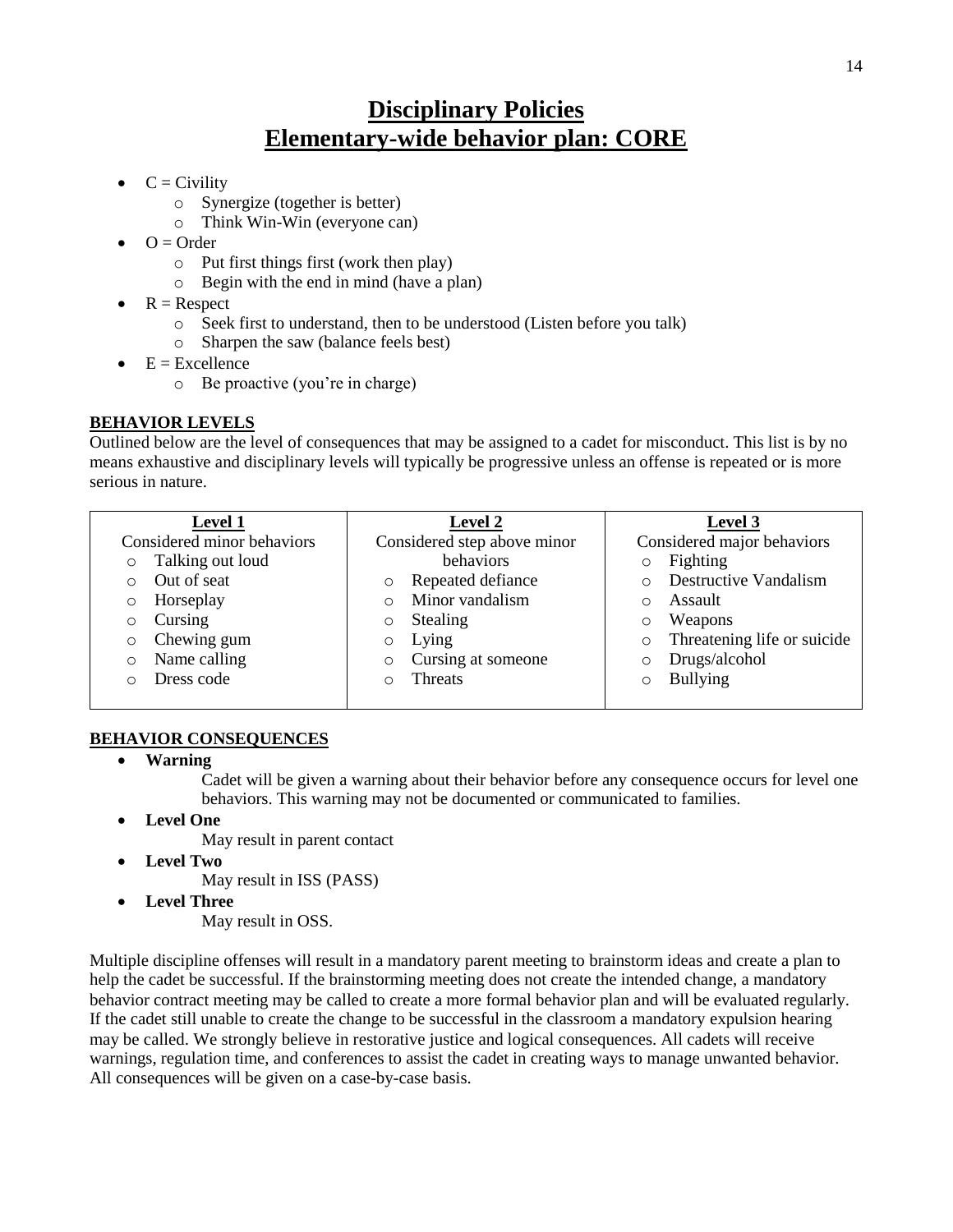## **Disciplinary Policies Elementary-wide behavior plan: CORE**

- $\bullet \quad C = \text{Civility}$ 
	- o Synergize (together is better)
	- o Think Win-Win (everyone can)
- $Q = Qrder$ 
	- o Put first things first (work then play)
	- o Begin with the end in mind (have a plan)
- $\bullet$  R = Respect
	- o Seek first to understand, then to be understood (Listen before you talk)
	- o Sharpen the saw (balance feels best)
- $\bullet$  E = Excellence
	- o Be proactive (you're in charge)

### **BEHAVIOR LEVELS**

Outlined below are the level of consequences that may be assigned to a cadet for misconduct. This list is by no means exhaustive and disciplinary levels will typically be progressive unless an offense is repeated or is more serious in nature.

| <b>Level 1</b>              | <b>Level 2</b>                | Level 3                                 |
|-----------------------------|-------------------------------|-----------------------------------------|
| Considered minor behaviors  | Considered step above minor   | Considered major behaviors              |
| Talking out loud<br>$\circ$ | behaviors                     | Fighting<br>$\circ$                     |
| Out of seat                 | Repeated defiance<br>$\circ$  | <b>Destructive Vandalism</b><br>$\circ$ |
| Horseplay<br>O              | Minor vandalism<br>$\Omega$   | Assault<br>$\circ$                      |
| Cursing<br>O                | Stealing<br>$\circ$           | Weapons<br>$\circ$                      |
| Chewing gum<br>O            | Lying<br>$\circ$              | Threatening life or suicide<br>$\circ$  |
| Name calling<br>$\circ$     | Cursing at someone<br>$\circ$ | Drugs/alcohol<br>$\circ$                |
| Dress code                  | <b>Threats</b><br>Ω           | <b>Bullying</b><br>$\Omega$             |
|                             |                               |                                         |

### **BEHAVIOR CONSEQUENCES**

**Warning**

Cadet will be given a warning about their behavior before any consequence occurs for level one behaviors. This warning may not be documented or communicated to families.

- **Level One**
	- May result in parent contact
- **Level Two**

May result in ISS (PASS)

**Level Three**

May result in OSS.

Multiple discipline offenses will result in a mandatory parent meeting to brainstorm ideas and create a plan to help the cadet be successful. If the brainstorming meeting does not create the intended change, a mandatory behavior contract meeting may be called to create a more formal behavior plan and will be evaluated regularly. If the cadet still unable to create the change to be successful in the classroom a mandatory expulsion hearing may be called. We strongly believe in restorative justice and logical consequences. All cadets will receive warnings, regulation time, and conferences to assist the cadet in creating ways to manage unwanted behavior. All consequences will be given on a case-by-case basis.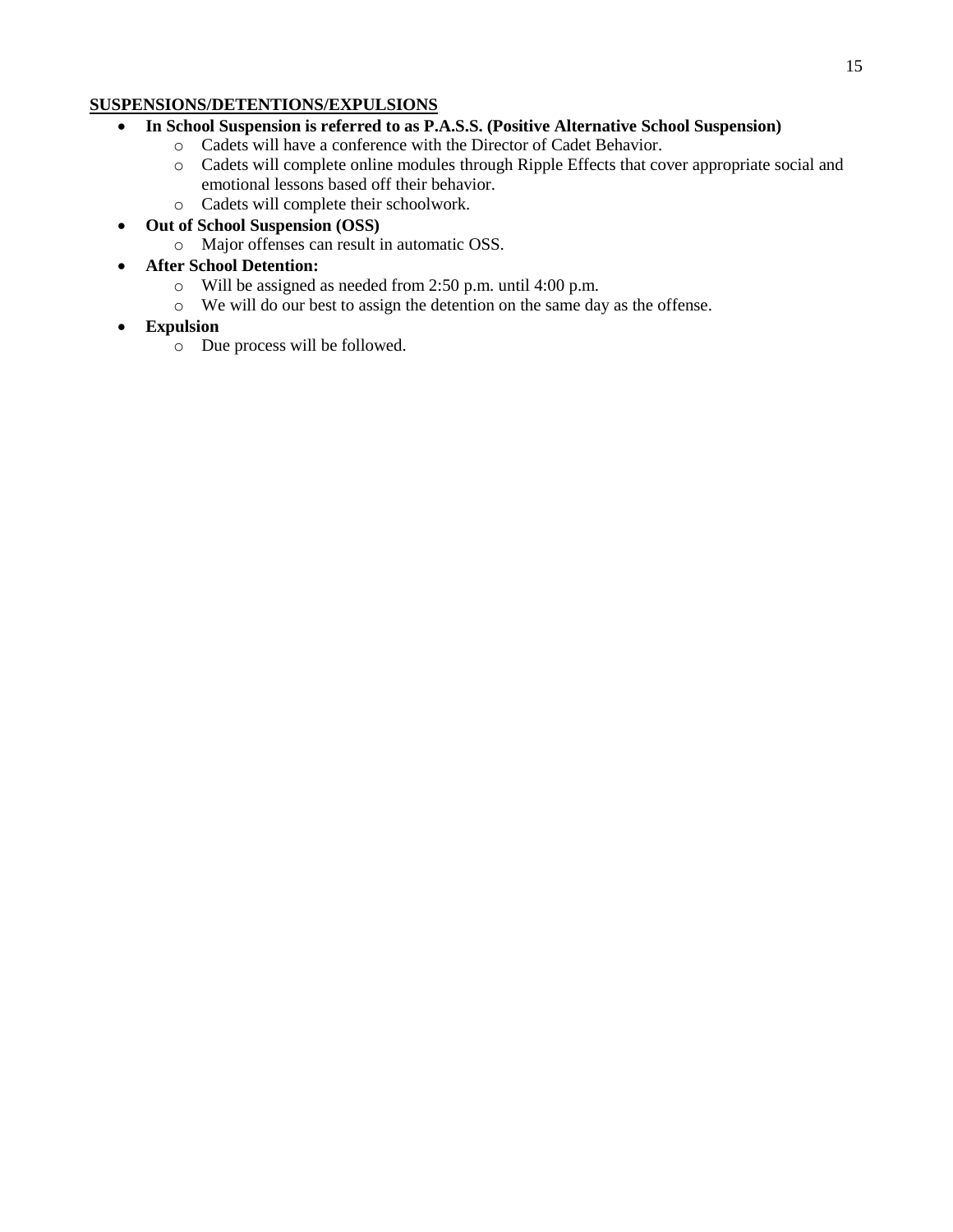#### 15

### **SUSPENSIONS/DETENTIONS/EXPULSIONS**

- **In School Suspension is referred to as P.A.S.S. (Positive Alternative School Suspension)**
	- o Cadets will have a conference with the Director of Cadet Behavior.
	- o Cadets will complete online modules through Ripple Effects that cover appropriate social and emotional lessons based off their behavior.
	- o Cadets will complete their schoolwork.
- **Out of School Suspension (OSS)**
	- o Major offenses can result in automatic OSS.
- **After School Detention:**
	- o Will be assigned as needed from 2:50 p.m. until 4:00 p.m.
	- o We will do our best to assign the detention on the same day as the offense.
- **Expulsion**
	- o Due process will be followed.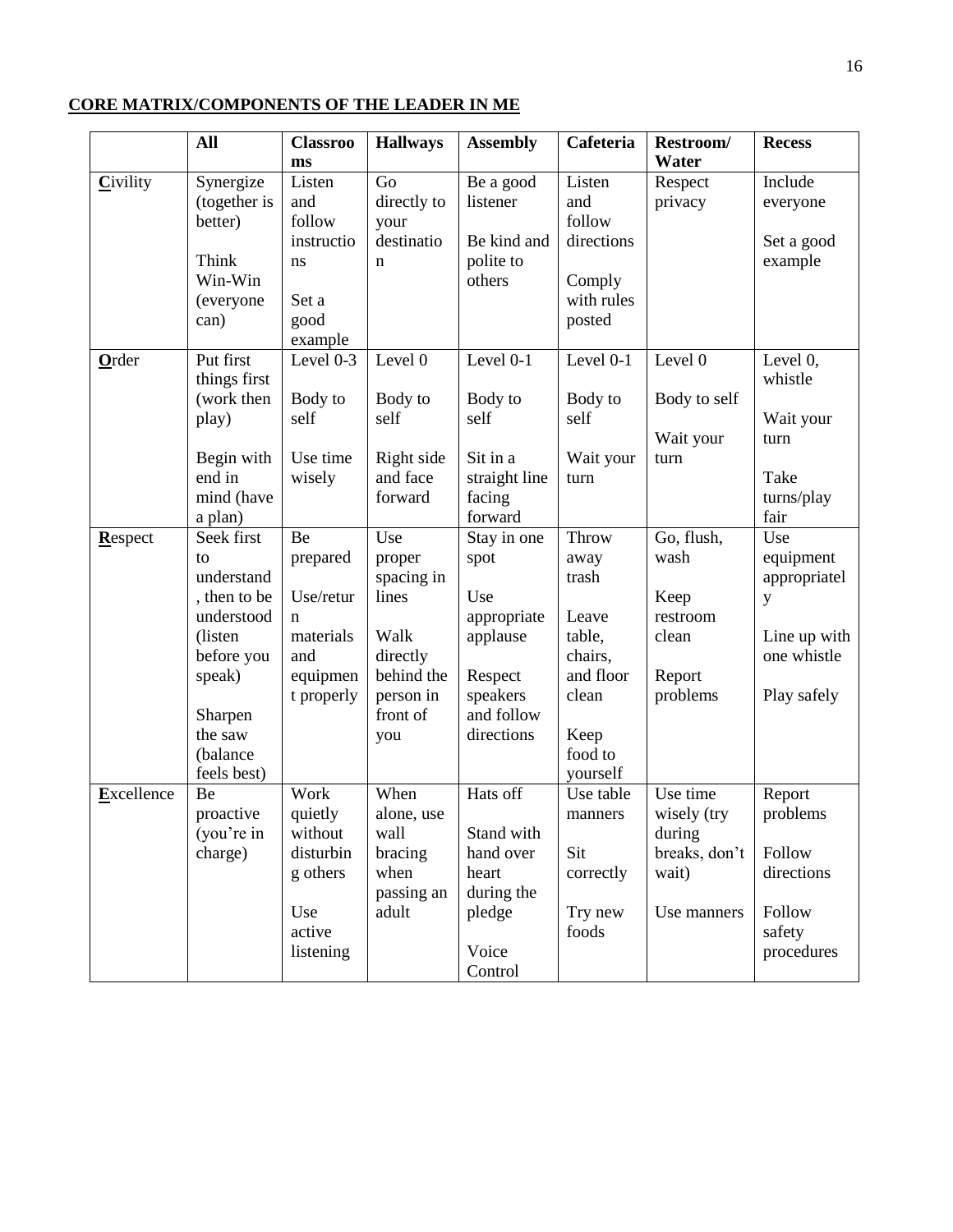### **CORE MATRIX/COMPONENTS OF THE LEADER IN ME**

|            | <b>All</b>           | <b>Classroo</b> | <b>Hallways</b>        | <b>Assembly</b>         | Cafeteria  | Restroom/     | <b>Recess</b> |
|------------|----------------------|-----------------|------------------------|-------------------------|------------|---------------|---------------|
|            |                      | ms              |                        |                         |            | Water         |               |
| Civility   | Synergize            | Listen          | Go                     | Be a good               | Listen     | Respect       | Include       |
|            | (together is         | and             | directly to            | listener                | and        | privacy       | everyone      |
|            | better)              | follow          | your                   |                         | follow     |               |               |
|            |                      | instructio      | destinatio             | Be kind and             | directions |               | Set a good    |
|            | Think                | ns              | n                      | polite to               |            |               | example       |
|            | Win-Win              |                 |                        | others                  | Comply     |               |               |
|            | (everyone            | Set a           |                        |                         | with rules |               |               |
|            | can)                 | good            |                        |                         | posted     |               |               |
|            |                      | example         |                        |                         |            |               |               |
| Order      | Put first            | Level 0-3       | Level 0                | Level 0-1               | Level 0-1  | Level 0       | Level $0$ ,   |
|            | things first         |                 |                        |                         |            |               | whistle       |
|            | (work then           | Body to         | Body to                | Body to                 | Body to    | Body to self  |               |
|            | play)                | self            | self                   | self                    | self       |               | Wait your     |
|            |                      | Use time        |                        |                         |            | Wait your     | turn          |
|            | Begin with<br>end in |                 | Right side<br>and face | Sit in a                | Wait your  | turn          | Take          |
|            | mind (have           | wisely          | forward                | straight line<br>facing | turn       |               | turns/play    |
|            | a plan)              |                 |                        | forward                 |            |               | fair          |
| Respect    | Seek first           | Be              | Use                    | Stay in one             | Throw      | Go, flush,    | Use           |
|            | to                   | prepared        | proper                 | spot                    | away       | wash          | equipment     |
|            | understand           |                 | spacing in             |                         | trash      |               | appropriatel  |
|            | , then to be         | Use/retur       | lines                  | Use                     |            | Keep          | y             |
|            | understood           | $\mathbf n$     |                        | appropriate             | Leave      | restroom      |               |
|            | (listen)             | materials       | Walk                   | applause                | table,     | clean         | Line up with  |
|            | before you           | and             | directly               |                         | chairs,    |               | one whistle   |
|            | speak)               | equipmen        | behind the             | Respect                 | and floor  | Report        |               |
|            |                      | t properly      | person in              | speakers                | clean      | problems      | Play safely   |
|            | Sharpen              |                 | front of               | and follow              |            |               |               |
|            | the saw              |                 | you                    | directions              | Keep       |               |               |
|            | (balance             |                 |                        |                         | food to    |               |               |
|            | feels best)          |                 |                        |                         | yourself   |               |               |
| Excellence | Be                   | Work            | When                   | Hats off                | Use table  | Use time      | Report        |
|            | proactive            | quietly         | alone, use             |                         | manners    | wisely (try   | problems      |
|            | (you're in           | without         | wall                   | Stand with              |            | during        |               |
|            | charge)              | disturbin       | bracing                | hand over               | Sit        | breaks, don't | Follow        |
|            |                      | g others        | when                   | heart                   | correctly  | wait)         | directions    |
|            |                      |                 | passing an             | during the              |            |               |               |
|            |                      | Use             | adult                  | pledge                  | Try new    | Use manners   | Follow        |
|            |                      | active          |                        |                         | foods      |               | safety        |
|            |                      | listening       |                        | Voice                   |            |               | procedures    |
|            |                      |                 |                        | Control                 |            |               |               |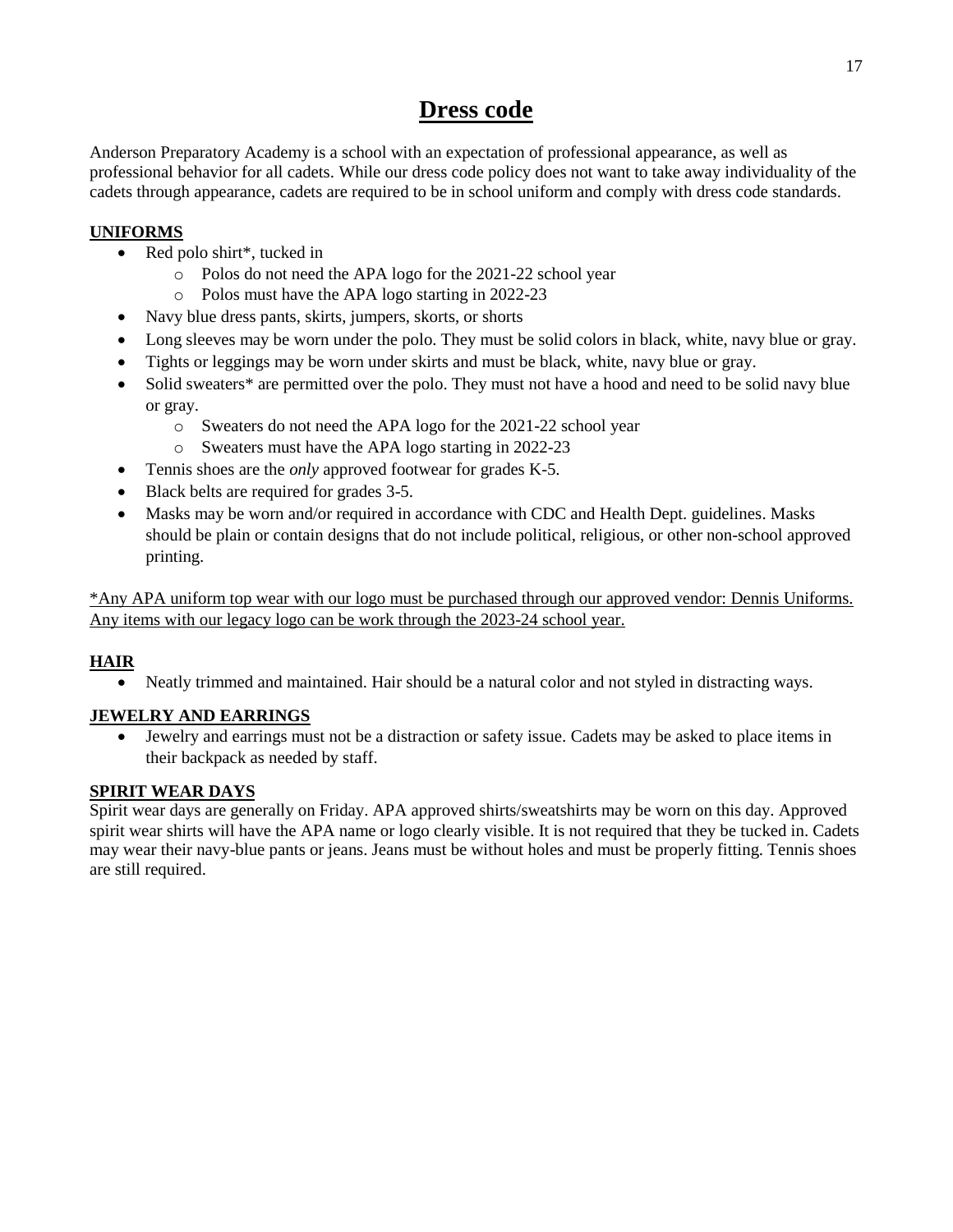## **Dress code**

Anderson Preparatory Academy is a school with an expectation of professional appearance, as well as professional behavior for all cadets. While our dress code policy does not want to take away individuality of the cadets through appearance, cadets are required to be in school uniform and comply with dress code standards.

### **UNIFORMS**

- Red polo shirt\*, tucked in
	- o Polos do not need the APA logo for the 2021-22 school year
	- o Polos must have the APA logo starting in 2022-23
- Navy blue dress pants, skirts, jumpers, skorts, or shorts
- Long sleeves may be worn under the polo. They must be solid colors in black, white, navy blue or gray.
- Tights or leggings may be worn under skirts and must be black, white, navy blue or gray.
- Solid sweaters<sup>\*</sup> are permitted over the polo. They must not have a hood and need to be solid navy blue or gray.
	- o Sweaters do not need the APA logo for the 2021-22 school year
	- o Sweaters must have the APA logo starting in 2022-23
- Tennis shoes are the *only* approved footwear for grades K-5.
- Black belts are required for grades 3-5.
- Masks may be worn and/or required in accordance with CDC and Health Dept. guidelines. Masks should be plain or contain designs that do not include political, religious, or other non-school approved printing.

\*Any APA uniform top wear with our logo must be purchased through our approved vendor: Dennis Uniforms. Any items with our legacy logo can be work through the 2023-24 school year.

### **HAIR**

Neatly trimmed and maintained. Hair should be a natural color and not styled in distracting ways.

### **JEWELRY AND EARRINGS**

 Jewelry and earrings must not be a distraction or safety issue. Cadets may be asked to place items in their backpack as needed by staff.

### **SPIRIT WEAR DAYS**

Spirit wear days are generally on Friday. APA approved shirts/sweatshirts may be worn on this day. Approved spirit wear shirts will have the APA name or logo clearly visible. It is not required that they be tucked in. Cadets may wear their navy-blue pants or jeans. Jeans must be without holes and must be properly fitting. Tennis shoes are still required.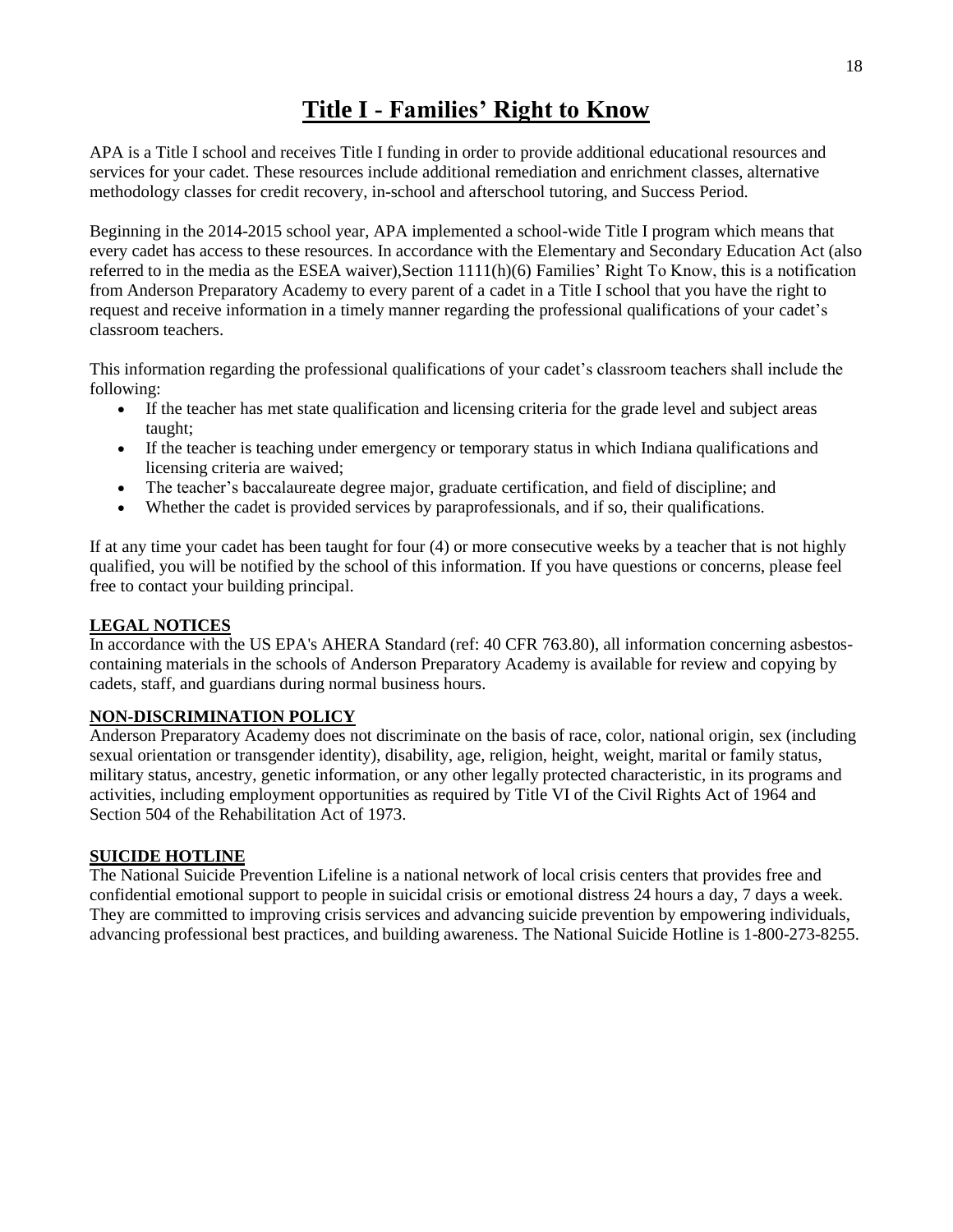## **Title I - Families' Right to Know**

APA is a Title I school and receives Title I funding in order to provide additional educational resources and services for your cadet. These resources include additional remediation and enrichment classes, alternative methodology classes for credit recovery, in-school and afterschool tutoring, and Success Period.

Beginning in the 2014-2015 school year, APA implemented a school-wide Title I program which means that every cadet has access to these resources. In accordance with the Elementary and Secondary Education Act (also referred to in the media as the ESEA waiver),Section 1111(h)(6) Families' Right To Know, this is a notification from Anderson Preparatory Academy to every parent of a cadet in a Title I school that you have the right to request and receive information in a timely manner regarding the professional qualifications of your cadet's classroom teachers.

This information regarding the professional qualifications of your cadet's classroom teachers shall include the following:

- If the teacher has met state qualification and licensing criteria for the grade level and subject areas taught;
- If the teacher is teaching under emergency or temporary status in which Indiana qualifications and licensing criteria are waived;
- The teacher's baccalaureate degree major, graduate certification, and field of discipline; and
- Whether the cadet is provided services by paraprofessionals, and if so, their qualifications.

If at any time your cadet has been taught for four (4) or more consecutive weeks by a teacher that is not highly qualified, you will be notified by the school of this information. If you have questions or concerns, please feel free to contact your building principal.

### **LEGAL NOTICES**

In accordance with the US EPA's AHERA Standard (ref: 40 CFR 763.80), all information concerning asbestoscontaining materials in the schools of Anderson Preparatory Academy is available for review and copying by cadets, staff, and guardians during normal business hours.

### **NON-DISCRIMINATION POLICY**

Anderson Preparatory Academy does not discriminate on the basis of race, color, national origin, sex (including sexual orientation or transgender identity), disability, age, religion, height, weight, marital or family status, military status, ancestry, genetic information, or any other legally protected characteristic, in its programs and activities, including employment opportunities as required by Title VI of the Civil Rights Act of 1964 and Section 504 of the Rehabilitation Act of 1973.

### **SUICIDE HOTLINE**

The National Suicide Prevention Lifeline is a national network of local crisis centers that provides free and confidential emotional support to people in suicidal crisis or emotional distress 24 hours a day, 7 days a week. They are committed to improving crisis services and advancing suicide prevention by empowering individuals, advancing professional best practices, and building awareness. The National Suicide Hotline is 1-800-273-8255.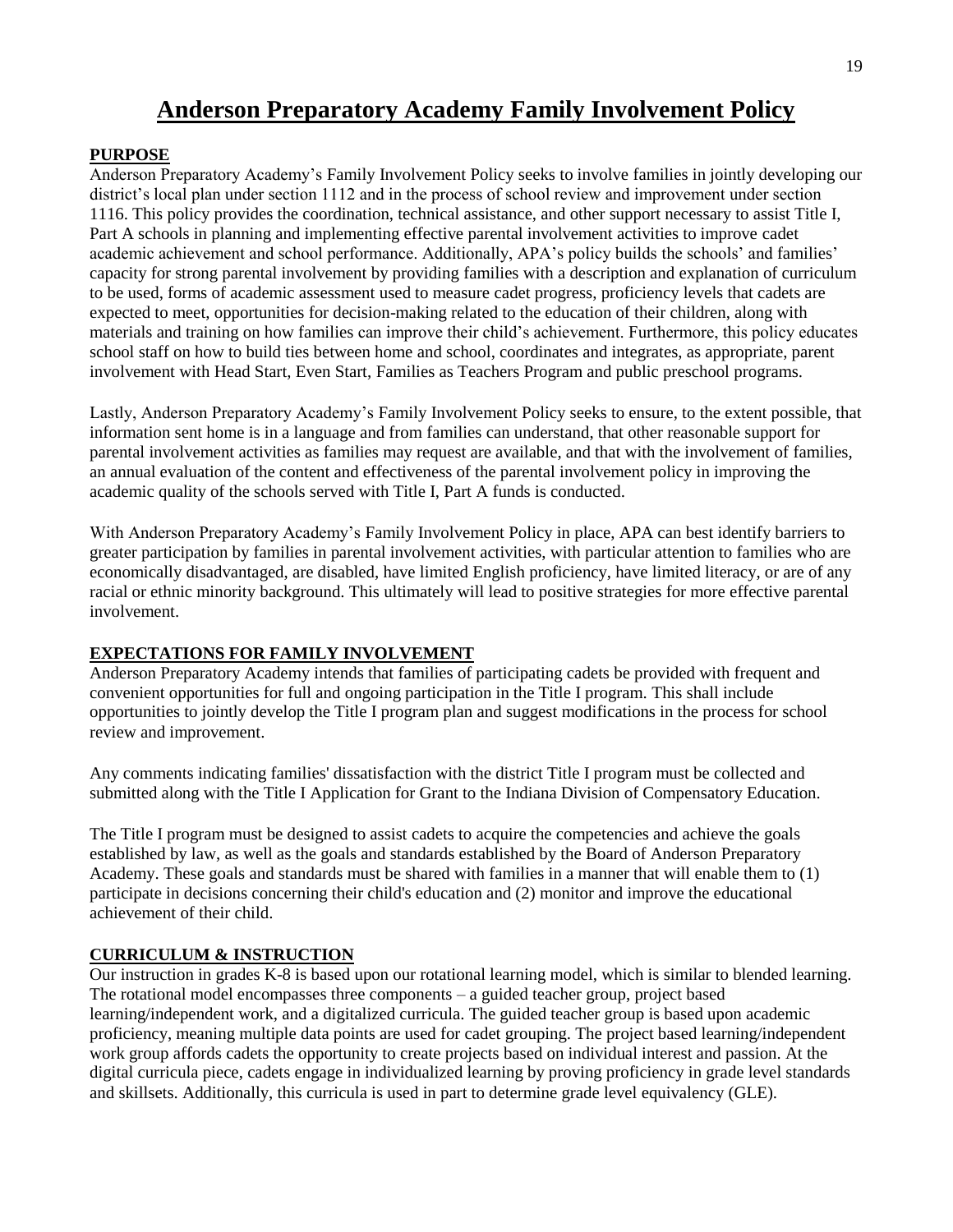## **Anderson Preparatory Academy Family Involvement Policy**

### **PURPOSE**

Anderson Preparatory Academy's Family Involvement Policy seeks to involve families in jointly developing our district's local plan under section 1112 and in the process of school review and improvement under section 1116. This policy provides the coordination, technical assistance, and other support necessary to assist Title I, Part A schools in planning and implementing effective parental involvement activities to improve cadet academic achievement and school performance. Additionally, APA's policy builds the schools' and families' capacity for strong parental involvement by providing families with a description and explanation of curriculum to be used, forms of academic assessment used to measure cadet progress, proficiency levels that cadets are expected to meet, opportunities for decision-making related to the education of their children, along with materials and training on how families can improve their child's achievement. Furthermore, this policy educates school staff on how to build ties between home and school, coordinates and integrates, as appropriate, parent involvement with Head Start, Even Start, Families as Teachers Program and public preschool programs.

Lastly, Anderson Preparatory Academy's Family Involvement Policy seeks to ensure, to the extent possible, that information sent home is in a language and from families can understand, that other reasonable support for parental involvement activities as families may request are available, and that with the involvement of families, an annual evaluation of the content and effectiveness of the parental involvement policy in improving the academic quality of the schools served with Title I, Part A funds is conducted.

With Anderson Preparatory Academy's Family Involvement Policy in place, APA can best identify barriers to greater participation by families in parental involvement activities, with particular attention to families who are economically disadvantaged, are disabled, have limited English proficiency, have limited literacy, or are of any racial or ethnic minority background. This ultimately will lead to positive strategies for more effective parental involvement.

### **EXPECTATIONS FOR FAMILY INVOLVEMENT**

Anderson Preparatory Academy intends that families of participating cadets be provided with frequent and convenient opportunities for full and ongoing participation in the Title I program. This shall include opportunities to jointly develop the Title I program plan and suggest modifications in the process for school review and improvement.

Any comments indicating families' dissatisfaction with the district Title I program must be collected and submitted along with the Title I Application for Grant to the Indiana Division of Compensatory Education.

The Title I program must be designed to assist cadets to acquire the competencies and achieve the goals established by law, as well as the goals and standards established by the Board of Anderson Preparatory Academy. These goals and standards must be shared with families in a manner that will enable them to (1) participate in decisions concerning their child's education and (2) monitor and improve the educational achievement of their child.

### **CURRICULUM & INSTRUCTION**

Our instruction in grades K-8 is based upon our rotational learning model, which is similar to blended learning. The rotational model encompasses three components – a guided teacher group, project based learning/independent work, and a digitalized curricula. The guided teacher group is based upon academic proficiency, meaning multiple data points are used for cadet grouping. The project based learning/independent work group affords cadets the opportunity to create projects based on individual interest and passion. At the digital curricula piece, cadets engage in individualized learning by proving proficiency in grade level standards and skillsets. Additionally, this curricula is used in part to determine grade level equivalency (GLE).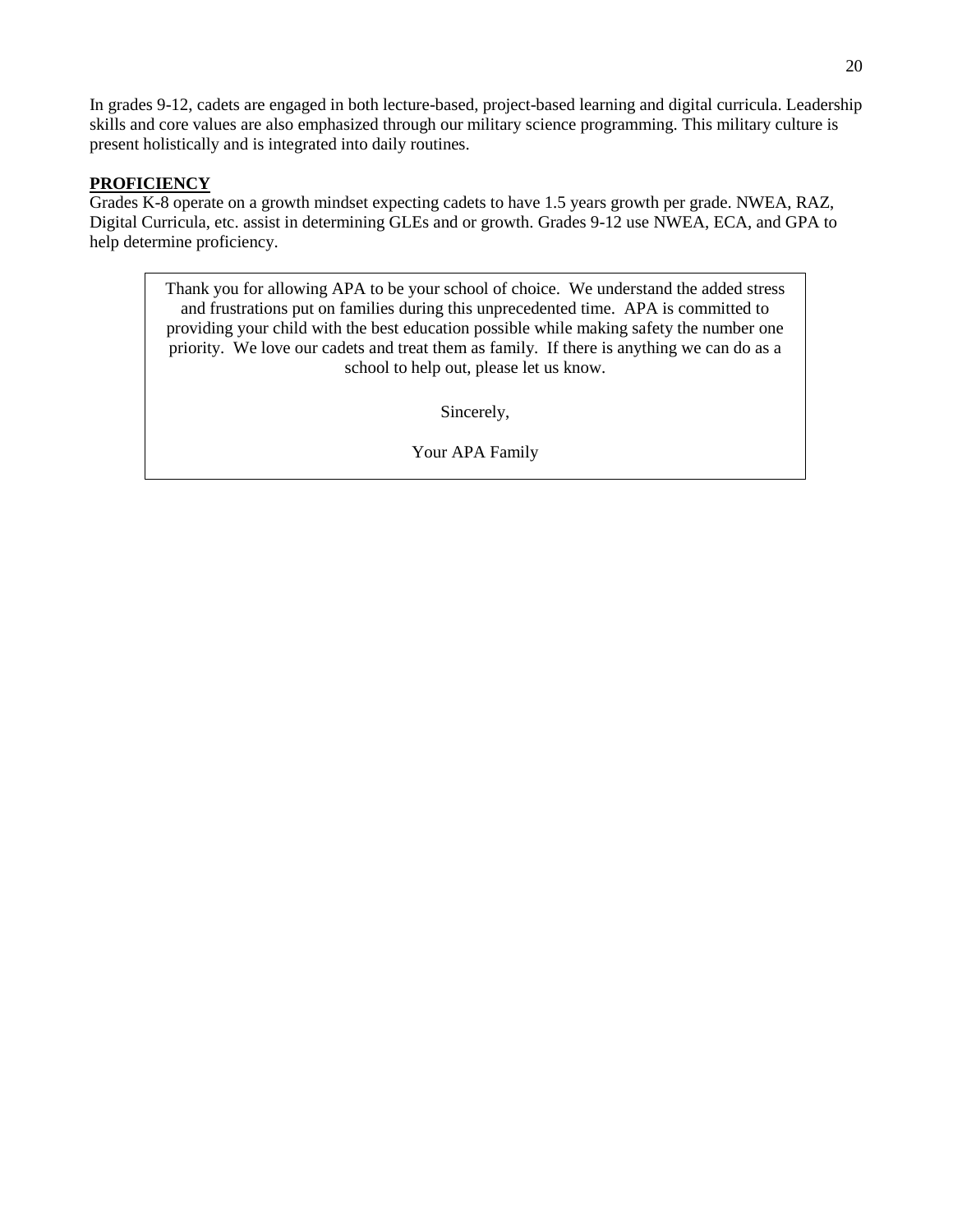In grades 9-12, cadets are engaged in both lecture-based, project-based learning and digital curricula. Leadership skills and core values are also emphasized through our military science programming. This military culture is present holistically and is integrated into daily routines.

### **PROFICIENCY**

Grades K-8 operate on a growth mindset expecting cadets to have 1.5 years growth per grade. NWEA, RAZ, Digital Curricula, etc. assist in determining GLEs and or growth. Grades 9-12 use NWEA, ECA, and GPA to help determine proficiency.

> Thank you for allowing APA to be your school of choice. We understand the added stress and frustrations put on families during this unprecedented time. APA is committed to providing your child with the best education possible while making safety the number one priority. We love our cadets and treat them as family. If there is anything we can do as a school to help out, please let us know.

> > Sincerely,

Your APA Family